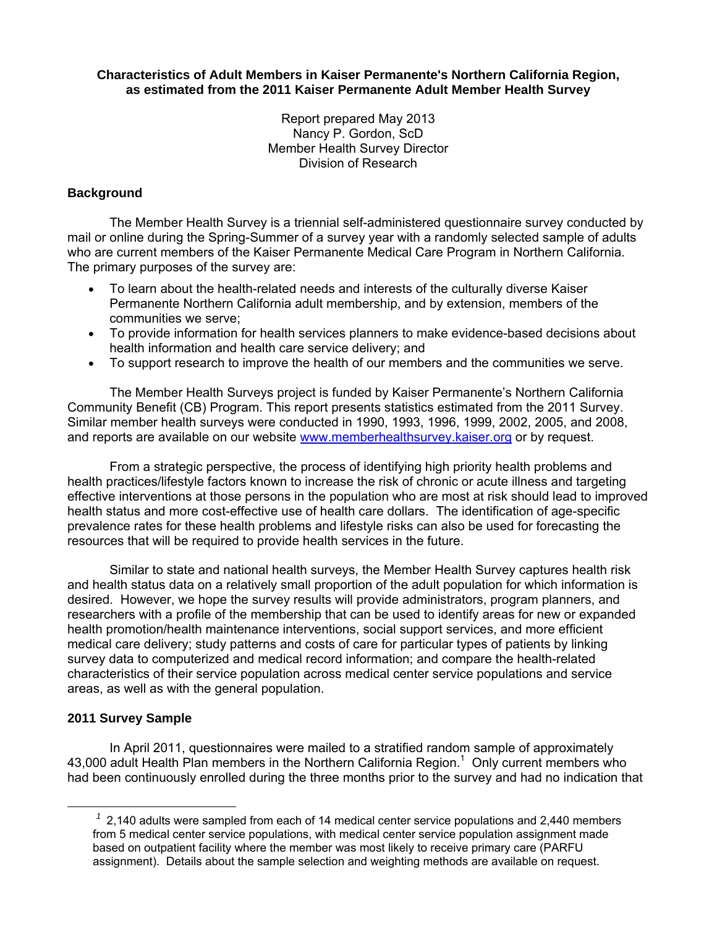**Characteristics of Adult Members in Kaiser Permanente's Northern California Region, as estimated from the 2011 Kaiser Permanente Adult Member Health Survey** 

> Report prepared May 2013 Nancy P. Gordon, ScD Member Health Survey Director Division of Research

# **Background**

The Member Health Survey is a triennial self-administered questionnaire survey conducted by mail or online during the Spring-Summer of a survey year with a randomly selected sample of adults who are current members of the Kaiser Permanente Medical Care Program in Northern California. The primary purposes of the survey are:

- To learn about the health-related needs and interests of the culturally diverse Kaiser Permanente Northern California adult membership, and by extension, members of the communities we serve;
- To provide information for health services planners to make evidence-based decisions about health information and health care service delivery; and
- To support research to improve the health of our members and the communities we serve.

 The Member Health Surveys project is funded by Kaiser Permanente's Northern California Community Benefit (CB) Program. This report presents statistics estimated from the 2011 Survey. Similar member health surveys were conducted in 1990, 1993, 1996, 1999, 2002, 2005, and 2008, and reports are available on our website www.memberhealthsurvey.kaiser.org or by request.

From a strategic perspective, the process of identifying high priority health problems and health practices/lifestyle factors known to increase the risk of chronic or acute illness and targeting effective interventions at those persons in the population who are most at risk should lead to improved health status and more cost-effective use of health care dollars. The identification of age-specific prevalence rates for these health problems and lifestyle risks can also be used for forecasting the resources that will be required to provide health services in the future.

Similar to state and national health surveys, the Member Health Survey captures health risk and health status data on a relatively small proportion of the adult population for which information is desired. However, we hope the survey results will provide administrators, program planners, and researchers with a profile of the membership that can be used to identify areas for new or expanded health promotion/health maintenance interventions, social support services, and more efficient medical care delivery; study patterns and costs of care for particular types of patients by linking survey data to computerized and medical record information; and compare the health-related characteristics of their service population across medical center service populations and service areas, as well as with the general population.

## **2011 Survey Sample**

In April 2011, questionnaires were mailed to a stratified random sample of approximately 43,000 adult Health Plan members in the Northern California Region.<sup>1</sup> Only current members who had been continuously enrolled during the three months prior to the survey and had no indication that

 $<sup>1</sup>$  2,140 adults were sampled from each of 14 medical center service populations and 2,440 members</sup> from 5 medical center service populations, with medical center service population assignment made based on outpatient facility where the member was most likely to receive primary care (PARFU assignment). Details about the sample selection and weighting methods are available on request.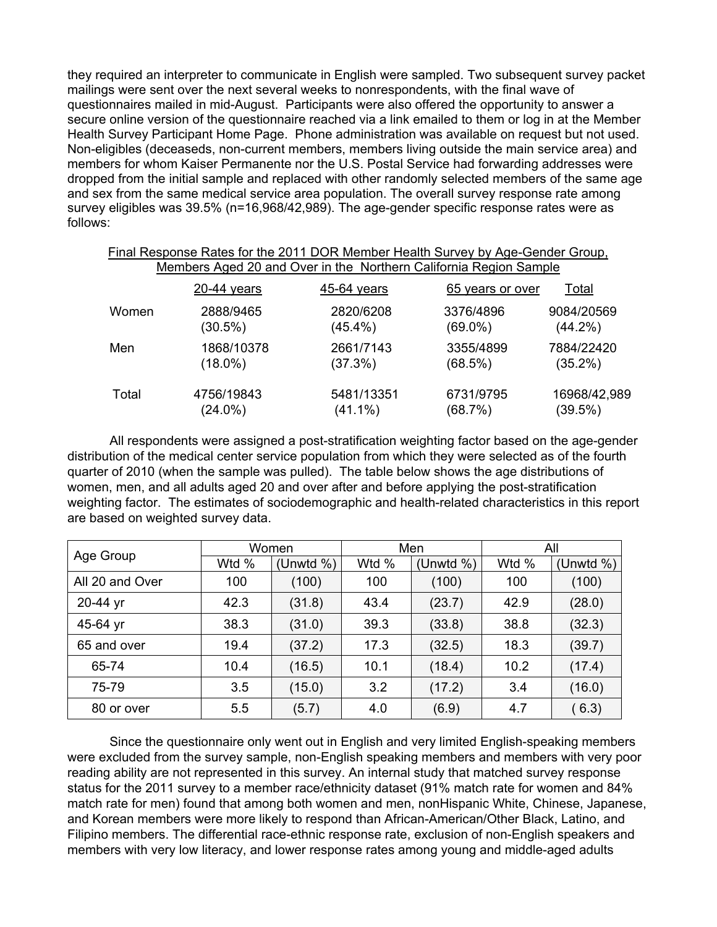they required an interpreter to communicate in English were sampled. Two subsequent survey packet mailings were sent over the next several weeks to nonrespondents, with the final wave of questionnaires mailed in mid-August. Participants were also offered the opportunity to answer a secure online version of the questionnaire reached via a link emailed to them or log in at the Member Health Survey Participant Home Page. Phone administration was available on request but not used. Non-eligibles (deceaseds, non-current members, members living outside the main service area) and members for whom Kaiser Permanente nor the U.S. Postal Service had forwarding addresses were dropped from the initial sample and replaced with other randomly selected members of the same age and sex from the same medical service area population. The overall survey response rate among survey eligibles was 39.5% (n=16,968/42,989). The age-gender specific response rates were as follows:

|       |               | Final Response Rates for the 2011 DOR Member Health Survey by Age-Gender Group. |                  |              |
|-------|---------------|---------------------------------------------------------------------------------|------------------|--------------|
|       |               | Members Aged 20 and Over in the Northern California Region Sample               |                  |              |
|       | $20-44$ years | 45-64 years                                                                     | 65 years or over | Total        |
| Women | 2888/9465     | 2820/6208                                                                       | 3376/4896        | 9084/20569   |
|       | $(30.5\%)$    | $(45.4\%)$                                                                      | $(69.0\%)$       | $(44.2\%)$   |
| Men   | 1868/10378    | 2661/7143                                                                       | 3355/4899        | 7884/22420   |
|       | $(18.0\%)$    | (37.3%)                                                                         | (68.5%)          | $(35.2\%)$   |
| Total | 4756/19843    | 5481/13351                                                                      | 6731/9795        | 16968/42,989 |
|       | $(24.0\%)$    | $(41.1\%)$                                                                      | (68.7%)          | (39.5%)      |

 All respondents were assigned a post-stratification weighting factor based on the age-gender distribution of the medical center service population from which they were selected as of the fourth quarter of 2010 (when the sample was pulled). The table below shows the age distributions of women, men, and all adults aged 20 and over after and before applying the post-stratification weighting factor. The estimates of sociodemographic and health-related characteristics in this report are based on weighted survey data.

| Age Group       |       | Women     |       | Men          | All   |               |  |
|-----------------|-------|-----------|-------|--------------|-------|---------------|--|
|                 | Wtd % | (Unwtd %) | Wtd % | (Unwtd $%$ ) | Wtd % | (Unwtd $\%$ ) |  |
| All 20 and Over | 100   | (100)     | 100   | (100)        | 100   | (100)         |  |
| 20-44 yr        | 42.3  | (31.8)    | 43.4  | (23.7)       | 42.9  | (28.0)        |  |
| 45-64 yr        | 38.3  | (31.0)    | 39.3  | (33.8)       | 38.8  | (32.3)        |  |
| 65 and over     | 19.4  | (37.2)    | 17.3  | (32.5)       | 18.3  | (39.7)        |  |
| 65-74           | 10.4  | (16.5)    | 10.1  | (18.4)       | 10.2  | (17.4)        |  |
| 75-79           | 3.5   | (15.0)    | 3.2   | (17.2)       | 3.4   | (16.0)        |  |
| 80 or over      | 5.5   | (5.7)     | 4.0   | (6.9)        | 4.7   | (6.3)         |  |

 Since the questionnaire only went out in English and very limited English-speaking members were excluded from the survey sample, non-English speaking members and members with very poor reading ability are not represented in this survey. An internal study that matched survey response status for the 2011 survey to a member race/ethnicity dataset (91% match rate for women and 84% match rate for men) found that among both women and men, nonHispanic White, Chinese, Japanese, and Korean members were more likely to respond than African-American/Other Black, Latino, and Filipino members. The differential race-ethnic response rate, exclusion of non-English speakers and members with very low literacy, and lower response rates among young and middle-aged adults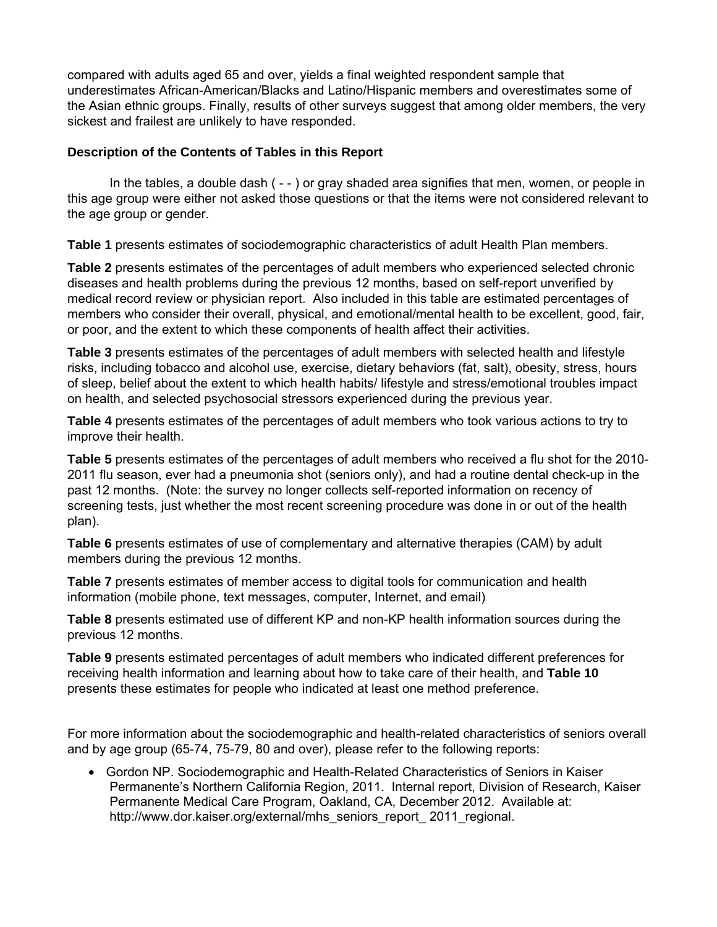compared with adults aged 65 and over, yields a final weighted respondent sample that underestimates African-American/Blacks and Latino/Hispanic members and overestimates some of the Asian ethnic groups. Finally, results of other surveys suggest that among older members, the very sickest and frailest are unlikely to have responded.

## **Description of the Contents of Tables in this Report**

 In the tables, a double dash ( - - ) or gray shaded area signifies that men, women, or people in this age group were either not asked those questions or that the items were not considered relevant to the age group or gender.

**Table 1** presents estimates of sociodemographic characteristics of adult Health Plan members.

**Table 2** presents estimates of the percentages of adult members who experienced selected chronic diseases and health problems during the previous 12 months, based on self-report unverified by medical record review or physician report. Also included in this table are estimated percentages of members who consider their overall, physical, and emotional/mental health to be excellent, good, fair, or poor, and the extent to which these components of health affect their activities.

**Table 3** presents estimates of the percentages of adult members with selected health and lifestyle risks, including tobacco and alcohol use, exercise, dietary behaviors (fat, salt), obesity, stress, hours of sleep, belief about the extent to which health habits/ lifestyle and stress/emotional troubles impact on health, and selected psychosocial stressors experienced during the previous year.

**Table 4** presents estimates of the percentages of adult members who took various actions to try to improve their health.

**Table 5** presents estimates of the percentages of adult members who received a flu shot for the 2010- 2011 flu season, ever had a pneumonia shot (seniors only), and had a routine dental check-up in the past 12 months. (Note: the survey no longer collects self-reported information on recency of screening tests, just whether the most recent screening procedure was done in or out of the health plan).

**Table 6** presents estimates of use of complementary and alternative therapies (CAM) by adult members during the previous 12 months.

**Table 7** presents estimates of member access to digital tools for communication and health information (mobile phone, text messages, computer, Internet, and email)

**Table 8** presents estimated use of different KP and non-KP health information sources during the previous 12 months.

**Table 9** presents estimated percentages of adult members who indicated different preferences for receiving health information and learning about how to take care of their health, and **Table 10** presents these estimates for people who indicated at least one method preference.

For more information about the sociodemographic and health-related characteristics of seniors overall and by age group (65-74, 75-79, 80 and over), please refer to the following reports:

• Gordon NP. Sociodemographic and Health-Related Characteristics of Seniors in Kaiser Permanente's Northern California Region, 2011. Internal report, Division of Research, Kaiser Permanente Medical Care Program, Oakland, CA, December 2012. Available at: http://www.dor.kaiser.org/external/mhs\_seniors\_report\_ 2011\_regional.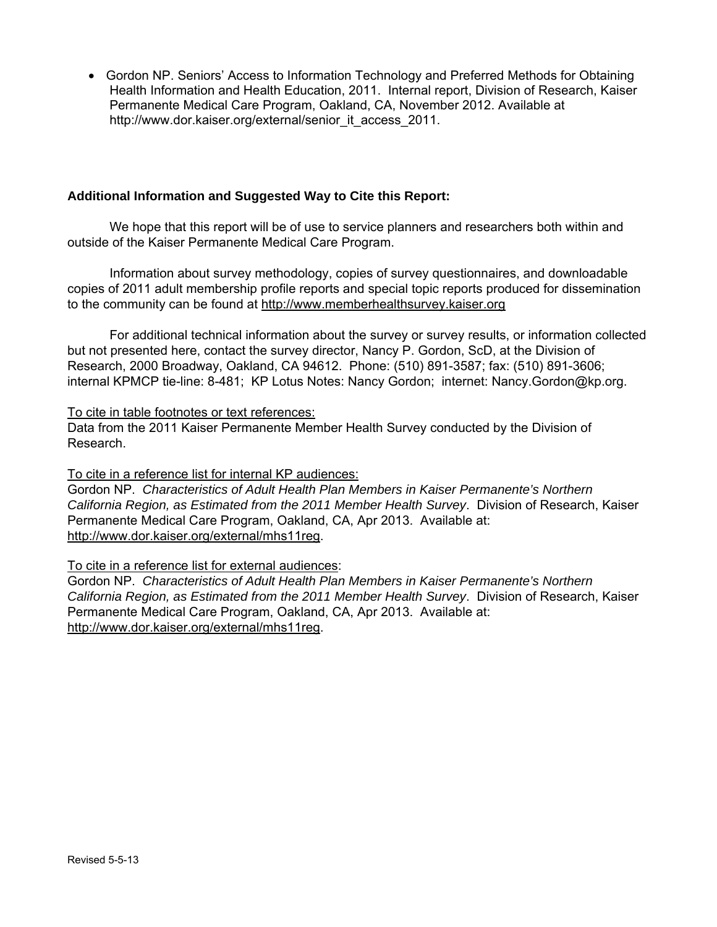• Gordon NP. Seniors' Access to Information Technology and Preferred Methods for Obtaining Health Information and Health Education, 2011. Internal report, Division of Research, Kaiser Permanente Medical Care Program, Oakland, CA, November 2012. Available at http://www.dor.kaiser.org/external/senior\_it\_access\_2011.

## **Additional Information and Suggested Way to Cite this Report:**

We hope that this report will be of use to service planners and researchers both within and outside of the Kaiser Permanente Medical Care Program.

Information about survey methodology, copies of survey questionnaires, and downloadable copies of 2011 adult membership profile reports and special topic reports produced for dissemination to the community can be found at http://www.memberhealthsurvey.kaiser.org

For additional technical information about the survey or survey results, or information collected but not presented here, contact the survey director, Nancy P. Gordon, ScD, at the Division of Research, 2000 Broadway, Oakland, CA 94612. Phone: (510) 891-3587; fax: (510) 891-3606; internal KPMCP tie-line: 8-481; KP Lotus Notes: Nancy Gordon; internet: Nancy.Gordon@kp.org.

### To cite in table footnotes or text references:

Data from the 2011 Kaiser Permanente Member Health Survey conducted by the Division of Research.

### To cite in a reference list for internal KP audiences:

Gordon NP. *Characteristics of Adult Health Plan Members in Kaiser Permanente's Northern California Region, as Estimated from the 2011 Member Health Survey*. Division of Research, Kaiser Permanente Medical Care Program, Oakland, CA, Apr 2013. Available at: http://www.dor.kaiser.org/external/mhs11reg.

### To cite in a reference list for external audiences:

Gordon NP. *Characteristics of Adult Health Plan Members in Kaiser Permanente's Northern California Region, as Estimated from the 2011 Member Health Survey*. Division of Research, Kaiser Permanente Medical Care Program, Oakland, CA, Apr 2013. Available at: http://www.dor.kaiser.org/external/mhs11reg.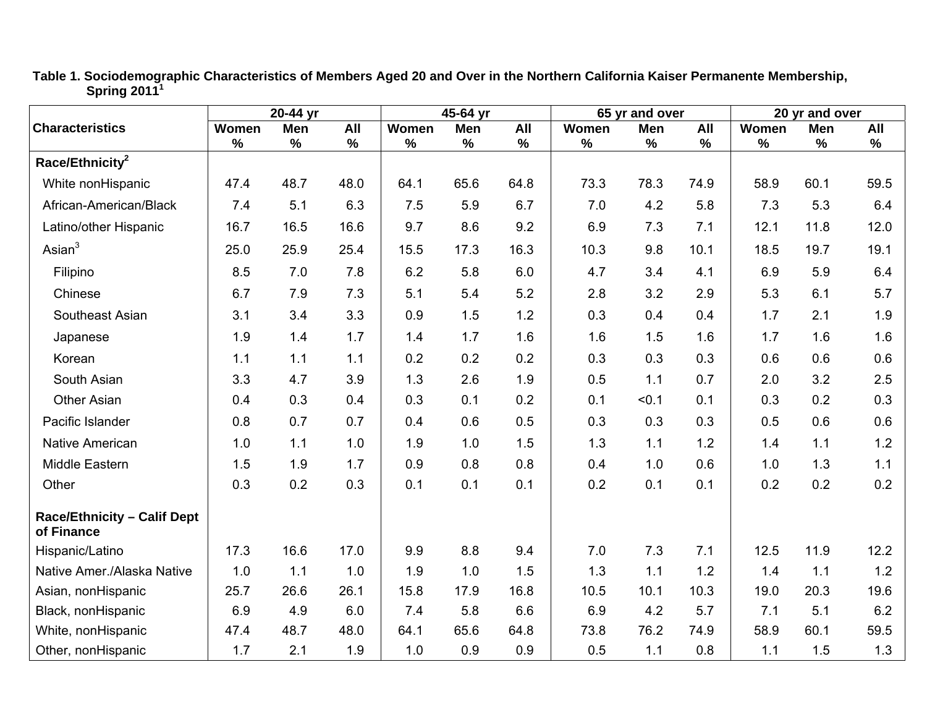|                                                  |       | 20-44 yr |            | 45-64 yr |      |      |       | 65 yr and over |      | 20 yr and over |      |      |
|--------------------------------------------------|-------|----------|------------|----------|------|------|-------|----------------|------|----------------|------|------|
| <b>Characteristics</b>                           | Women | Men      | <b>All</b> | Women    | Men  | All  | Women | Men            | All  | Women          | Men  | All  |
| Race/Ethnicity <sup>2</sup>                      | $\%$  | $\%$     | $\%$       | $\%$     | $\%$ | $\%$ | $\%$  | $\%$           | $\%$ | $\%$           | $\%$ | $\%$ |
| White nonHispanic                                | 47.4  | 48.7     | 48.0       | 64.1     | 65.6 | 64.8 | 73.3  | 78.3           | 74.9 | 58.9           | 60.1 | 59.5 |
| African-American/Black                           | 7.4   | 5.1      | 6.3        | 7.5      | 5.9  | 6.7  | 7.0   | 4.2            | 5.8  | 7.3            | 5.3  | 6.4  |
| Latino/other Hispanic                            | 16.7  | 16.5     | 16.6       | 9.7      | 8.6  | 9.2  | 6.9   | 7.3            | 7.1  | 12.1           | 11.8 | 12.0 |
| Asian $3$                                        | 25.0  | 25.9     | 25.4       | 15.5     | 17.3 | 16.3 | 10.3  | 9.8            | 10.1 | 18.5           | 19.7 | 19.1 |
| Filipino                                         | 8.5   | 7.0      | 7.8        | 6.2      | 5.8  | 6.0  | 4.7   | 3.4            | 4.1  | 6.9            | 5.9  | 6.4  |
| Chinese                                          | 6.7   | 7.9      | 7.3        | 5.1      | 5.4  | 5.2  | 2.8   | 3.2            | 2.9  | 5.3            | 6.1  | 5.7  |
| Southeast Asian                                  | 3.1   | 3.4      | 3.3        | 0.9      | 1.5  | 1.2  | 0.3   | 0.4            | 0.4  | 1.7            | 2.1  | 1.9  |
| Japanese                                         | 1.9   | 1.4      | 1.7        | 1.4      | 1.7  | 1.6  | 1.6   | 1.5            | 1.6  | 1.7            | 1.6  | 1.6  |
| Korean                                           | 1.1   | 1.1      | 1.1        | 0.2      | 0.2  | 0.2  | 0.3   | 0.3            | 0.3  | 0.6            | 0.6  | 0.6  |
| South Asian                                      | 3.3   | 4.7      | 3.9        | 1.3      | 2.6  | 1.9  | 0.5   | 1.1            | 0.7  | 2.0            | 3.2  | 2.5  |
| <b>Other Asian</b>                               | 0.4   | 0.3      | 0.4        | 0.3      | 0.1  | 0.2  | 0.1   | < 0.1          | 0.1  | 0.3            | 0.2  | 0.3  |
| Pacific Islander                                 | 0.8   | 0.7      | 0.7        | 0.4      | 0.6  | 0.5  | 0.3   | 0.3            | 0.3  | 0.5            | 0.6  | 0.6  |
| <b>Native American</b>                           | 1.0   | 1.1      | 1.0        | 1.9      | 1.0  | 1.5  | 1.3   | 1.1            | 1.2  | 1.4            | 1.1  | 1.2  |
| Middle Eastern                                   | 1.5   | 1.9      | 1.7        | 0.9      | 0.8  | 0.8  | 0.4   | 1.0            | 0.6  | 1.0            | 1.3  | 1.1  |
| Other                                            | 0.3   | 0.2      | 0.3        | 0.1      | 0.1  | 0.1  | 0.2   | 0.1            | 0.1  | 0.2            | 0.2  | 0.2  |
| <b>Race/Ethnicity - Calif Dept</b><br>of Finance |       |          |            |          |      |      |       |                |      |                |      |      |
| Hispanic/Latino                                  | 17.3  | 16.6     | 17.0       | 9.9      | 8.8  | 9.4  | 7.0   | 7.3            | 7.1  | 12.5           | 11.9 | 12.2 |
| Native Amer./Alaska Native                       | 1.0   | 1.1      | 1.0        | 1.9      | 1.0  | 1.5  | 1.3   | 1.1            | 1.2  | 1.4            | 1.1  | 1.2  |
| Asian, nonHispanic                               | 25.7  | 26.6     | 26.1       | 15.8     | 17.9 | 16.8 | 10.5  | 10.1           | 10.3 | 19.0           | 20.3 | 19.6 |
| Black, nonHispanic                               | 6.9   | 4.9      | 6.0        | 7.4      | 5.8  | 6.6  | 6.9   | 4.2            | 5.7  | 7.1            | 5.1  | 6.2  |
| White, nonHispanic                               | 47.4  | 48.7     | 48.0       | 64.1     | 65.6 | 64.8 | 73.8  | 76.2           | 74.9 | 58.9           | 60.1 | 59.5 |
| Other, nonHispanic                               | 1.7   | 2.1      | 1.9        | 1.0      | 0.9  | 0.9  | 0.5   | 1.1            | 0.8  | 1.1            | 1.5  | 1.3  |

**Table 1. Sociodemographic Characteristics of Members Aged 20 and Over in the Northern California Kaiser Permanente Membership, Spring 2011<sup>1</sup>**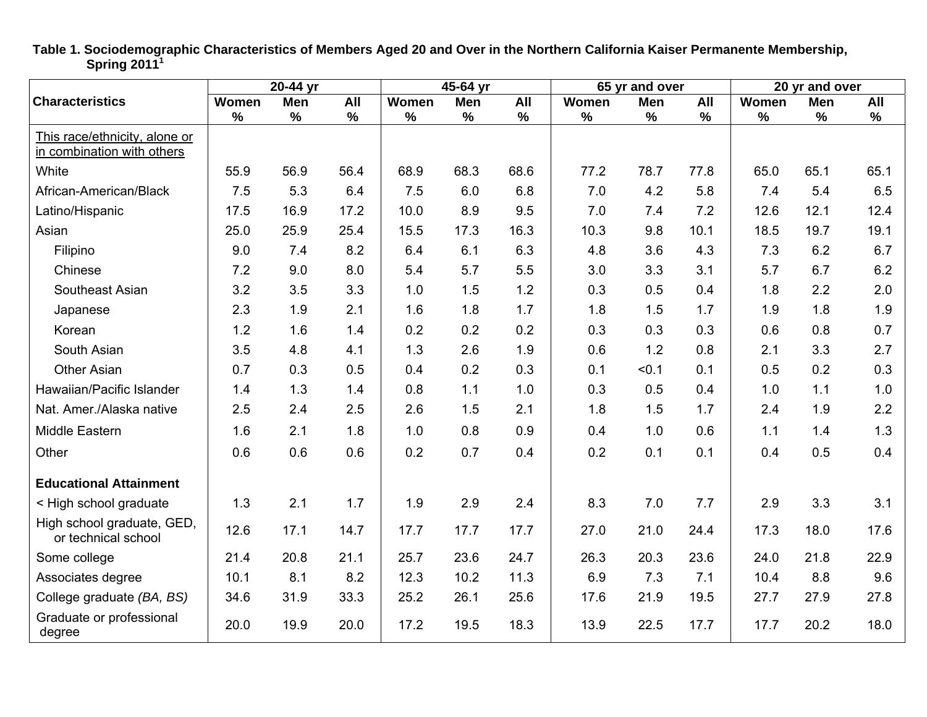|                                                             |       | 20-44 yr |      |       | 45-64 yr   |      |       | 65 yr and over |      |       | 20 yr and over |      |
|-------------------------------------------------------------|-------|----------|------|-------|------------|------|-------|----------------|------|-------|----------------|------|
| <b>Characteristics</b>                                      | Women | Men      | All  | Women | <b>Men</b> | All  | Women | Men            | All  | Women | <b>Men</b>     | All  |
|                                                             | $\%$  | $\%$     | %    | $\%$  | $\%$       | $\%$ | $\%$  | $\%$           | $\%$ | $\%$  | %              | $\%$ |
| This race/ethnicity, alone or<br>in combination with others |       |          |      |       |            |      |       |                |      |       |                |      |
| White                                                       | 55.9  | 56.9     | 56.4 | 68.9  | 68.3       | 68.6 | 77.2  | 78.7           | 77.8 | 65.0  | 65.1           | 65.1 |
| African-American/Black                                      | 7.5   | 5.3      | 6.4  | 7.5   | 6.0        | 6.8  | 7.0   | 4.2            | 5.8  | 7.4   | 5.4            | 6.5  |
| Latino/Hispanic                                             | 17.5  | 16.9     | 17.2 | 10.0  | 8.9        | 9.5  | 7.0   | 7.4            | 7.2  | 12.6  | 12.1           | 12.4 |
|                                                             |       |          |      |       |            |      |       |                |      |       |                |      |
| Asian                                                       | 25.0  | 25.9     | 25.4 | 15.5  | 17.3       | 16.3 | 10.3  | 9.8            | 10.1 | 18.5  | 19.7           | 19.1 |
| Filipino                                                    | 9.0   | 7.4      | 8.2  | 6.4   | 6.1        | 6.3  | 4.8   | 3.6            | 4.3  | 7.3   | 6.2            | 6.7  |
| Chinese                                                     | 7.2   | 9.0      | 8.0  | 5.4   | 5.7        | 5.5  | 3.0   | 3.3            | 3.1  | 5.7   | 6.7            | 6.2  |
| Southeast Asian                                             | 3.2   | 3.5      | 3.3  | 1.0   | 1.5        | 1.2  | 0.3   | 0.5            | 0.4  | 1.8   | 2.2            | 2.0  |
| Japanese                                                    | 2.3   | 1.9      | 2.1  | 1.6   | 1.8        | 1.7  | 1.8   | 1.5            | 1.7  | 1.9   | 1.8            | 1.9  |
| Korean                                                      | 1.2   | 1.6      | 1.4  | 0.2   | 0.2        | 0.2  | 0.3   | 0.3            | 0.3  | 0.6   | 0.8            | 0.7  |
| South Asian                                                 | 3.5   | 4.8      | 4.1  | 1.3   | 2.6        | 1.9  | 0.6   | 1.2            | 0.8  | 2.1   | 3.3            | 2.7  |
| <b>Other Asian</b>                                          | 0.7   | 0.3      | 0.5  | 0.4   | 0.2        | 0.3  | 0.1   | < 0.1          | 0.1  | 0.5   | 0.2            | 0.3  |
| Hawaiian/Pacific Islander                                   | 1.4   | 1.3      | 1.4  | 0.8   | 1.1        | 1.0  | 0.3   | 0.5            | 0.4  | 1.0   | 1.1            | 1.0  |
| Nat. Amer./Alaska native                                    | 2.5   | 2.4      | 2.5  | 2.6   | 1.5        | 2.1  | 1.8   | 1.5            | 1.7  | 2.4   | 1.9            | 2.2  |
| Middle Eastern                                              | 1.6   | 2.1      | 1.8  | 1.0   | 0.8        | 0.9  | 0.4   | 1.0            | 0.6  | 1.1   | 1.4            | 1.3  |
| Other                                                       | 0.6   | 0.6      | 0.6  | 0.2   | 0.7        | 0.4  | 0.2   | 0.1            | 0.1  | 0.4   | 0.5            | 0.4  |
| <b>Educational Attainment</b>                               |       |          |      |       |            |      |       |                |      |       |                |      |
| < High school graduate                                      | 1.3   | 2.1      | 1.7  | 1.9   | 2.9        | 2.4  | 8.3   | 7.0            | 7.7  | 2.9   | 3.3            | 3.1  |
| High school graduate, GED,<br>or technical school           | 12.6  | 17.1     | 14.7 | 17.7  | 17.7       | 17.7 | 27.0  | 21.0           | 24.4 | 17.3  | 18.0           | 17.6 |
| Some college                                                | 21.4  | 20.8     | 21.1 | 25.7  | 23.6       | 24.7 | 26.3  | 20.3           | 23.6 | 24.0  | 21.8           | 22.9 |
| Associates degree                                           | 10.1  | 8.1      | 8.2  | 12.3  | 10.2       | 11.3 | 6.9   | 7.3            | 7.1  | 10.4  | 8.8            | 9.6  |
| College graduate (BA, BS)                                   | 34.6  | 31.9     | 33.3 | 25.2  | 26.1       | 25.6 | 17.6  | 21.9           | 19.5 | 27.7  | 27.9           | 27.8 |
| Graduate or professional<br>degree                          | 20.0  | 19.9     | 20.0 | 17.2  | 19.5       | 18.3 | 13.9  | 22.5           | 17.7 | 17.7  | 20.2           | 18.0 |

**Table 1. Sociodemographic Characteristics of Members Aged 20 and Over in the Northern California Kaiser Permanente Membership, Spring 2011<sup>1</sup>**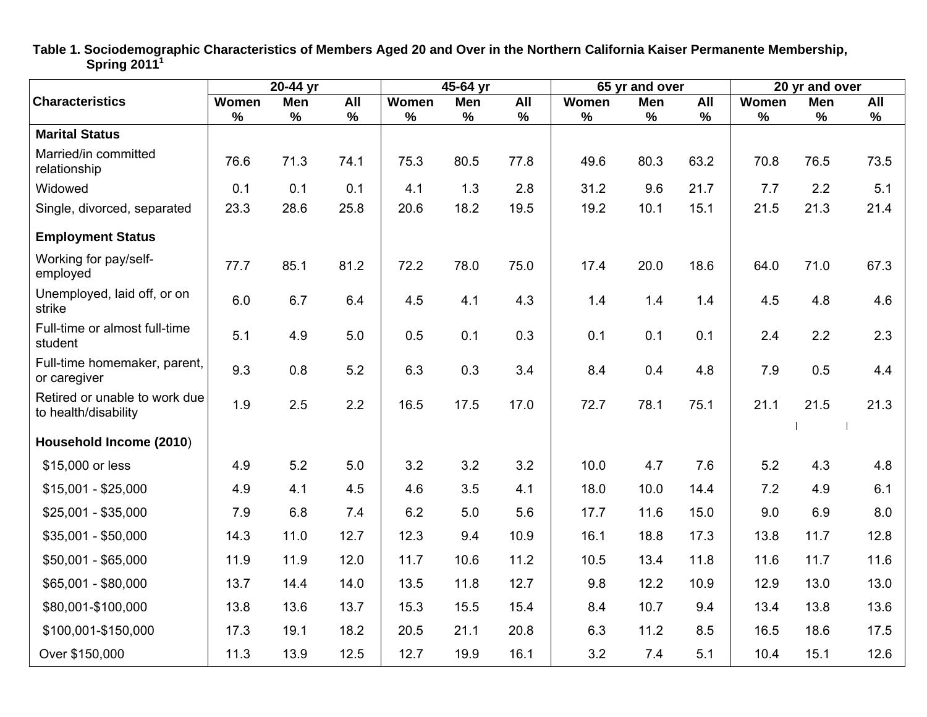|                                                       |       | 20-44 yr |               | $45-64$ yr |      |               | 65 yr and over |      |      | 20 yr and over |            |      |
|-------------------------------------------------------|-------|----------|---------------|------------|------|---------------|----------------|------|------|----------------|------------|------|
| <b>Characteristics</b>                                | Women | Men      | All           | Women      | Men  | All           | Women          | Men  | All  | Women          | <b>Men</b> | All  |
|                                                       | $\%$  | $\%$     | $\frac{9}{6}$ | $\%$       | $\%$ | $\frac{9}{6}$ | $\%$           | $\%$ | $\%$ | $\%$           | %          | $\%$ |
| <b>Marital Status</b>                                 |       |          |               |            |      |               |                |      |      |                |            |      |
| Married/in committed<br>relationship                  | 76.6  | 71.3     | 74.1          | 75.3       | 80.5 | 77.8          | 49.6           | 80.3 | 63.2 | 70.8           | 76.5       | 73.5 |
| Widowed                                               | 0.1   | 0.1      | 0.1           | 4.1        | 1.3  | 2.8           | 31.2           | 9.6  | 21.7 | 7.7            | 2.2        | 5.1  |
| Single, divorced, separated                           | 23.3  | 28.6     | 25.8          | 20.6       | 18.2 | 19.5          | 19.2           | 10.1 | 15.1 | 21.5           | 21.3       | 21.4 |
| <b>Employment Status</b>                              |       |          |               |            |      |               |                |      |      |                |            |      |
| Working for pay/self-<br>employed                     | 77.7  | 85.1     | 81.2          | 72.2       | 78.0 | 75.0          | 17.4           | 20.0 | 18.6 | 64.0           | 71.0       | 67.3 |
| Unemployed, laid off, or on<br>strike                 | 6.0   | 6.7      | 6.4           | 4.5        | 4.1  | 4.3           | 1.4            | 1.4  | 1.4  | 4.5            | 4.8        | 4.6  |
| Full-time or almost full-time<br>student              | 5.1   | 4.9      | 5.0           | 0.5        | 0.1  | 0.3           | 0.1            | 0.1  | 0.1  | 2.4            | 2.2        | 2.3  |
| Full-time homemaker, parent,<br>or caregiver          | 9.3   | 0.8      | 5.2           | 6.3        | 0.3  | 3.4           | 8.4            | 0.4  | 4.8  | 7.9            | 0.5        | 4.4  |
| Retired or unable to work due<br>to health/disability | 1.9   | 2.5      | 2.2           | 16.5       | 17.5 | 17.0          | 72.7           | 78.1 | 75.1 | 21.1           | 21.5       | 21.3 |
| Household Income (2010)                               |       |          |               |            |      |               |                |      |      |                |            |      |
| \$15,000 or less                                      | 4.9   | 5.2      | 5.0           | 3.2        | 3.2  | 3.2           | 10.0           | 4.7  | 7.6  | 5.2            | 4.3        | 4.8  |
| $$15,001 - $25,000$                                   | 4.9   | 4.1      | 4.5           | 4.6        | 3.5  | 4.1           | 18.0           | 10.0 | 14.4 | 7.2            | 4.9        | 6.1  |
| \$25,001 - \$35,000                                   | 7.9   | 6.8      | 7.4           | 6.2        | 5.0  | 5.6           | 17.7           | 11.6 | 15.0 | 9.0            | 6.9        | 8.0  |
| $$35,001 - $50,000$                                   | 14.3  | 11.0     | 12.7          | 12.3       | 9.4  | 10.9          | 16.1           | 18.8 | 17.3 | 13.8           | 11.7       | 12.8 |
| \$50,001 - \$65,000                                   | 11.9  | 11.9     | 12.0          | 11.7       | 10.6 | 11.2          | 10.5           | 13.4 | 11.8 | 11.6           | 11.7       | 11.6 |
| \$65,001 - \$80,000                                   | 13.7  | 14.4     | 14.0          | 13.5       | 11.8 | 12.7          | 9.8            | 12.2 | 10.9 | 12.9           | 13.0       | 13.0 |
| \$80,001-\$100,000                                    | 13.8  | 13.6     | 13.7          | 15.3       | 15.5 | 15.4          | 8.4            | 10.7 | 9.4  | 13.4           | 13.8       | 13.6 |
| \$100,001-\$150,000                                   | 17.3  | 19.1     | 18.2          | 20.5       | 21.1 | 20.8          | 6.3            | 11.2 | 8.5  | 16.5           | 18.6       | 17.5 |
| Over \$150,000                                        | 11.3  | 13.9     | 12.5          | 12.7       | 19.9 | 16.1          | 3.2            | 7.4  | 5.1  | 10.4           | 15.1       | 12.6 |

**Table 1. Sociodemographic Characteristics of Members Aged 20 and Over in the Northern California Kaiser Permanente Membership, Spring 2011<sup>1</sup>**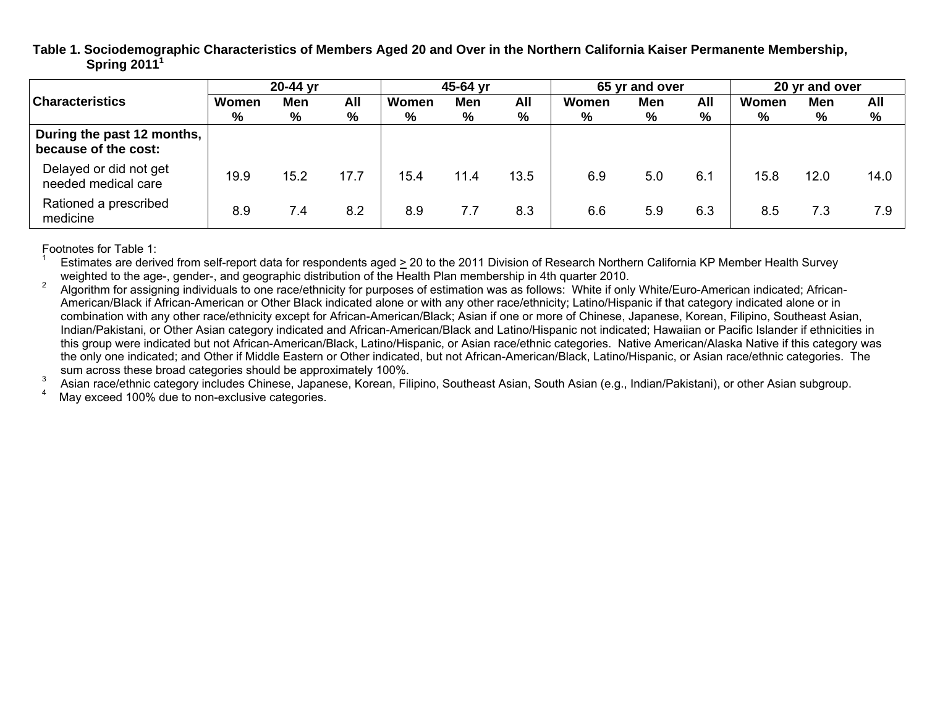**Table 1. Sociodemographic Characteristics of Members Aged 20 and Over in the Northern California Kaiser Permanente Membership, Spring 2011<sup>1</sup>**

|                                                    | 20-44 yr |      |            | 45-64 yr |      |      | 65 yr and over |            |     | 20 yr and over |      |      |
|----------------------------------------------------|----------|------|------------|----------|------|------|----------------|------------|-----|----------------|------|------|
| <b>Characteristics</b>                             | Women    | Men  | <b>All</b> | Women    | Men  | All  | Women          | <b>Men</b> | All | Women          | Men  | All  |
|                                                    | %        | %    | %          | %        | %    | %    | %              | %          | %   | %              | %    | %    |
| During the past 12 months,<br>because of the cost: |          |      |            |          |      |      |                |            |     |                |      |      |
| Delayed or did not get<br>needed medical care      | 19.9     | 15.2 | 17.7       | 15.4     | 11.4 | 13.5 | 6.9            | 5.0        | 6.1 | 15.8           | 12.0 | 14.0 |
| Rationed a prescribed<br>medicine                  | 8.9      | 7.4  | 8.2        | 8.9      | 7.7  | 8.3  | 6.6            | 5.9        | 6.3 | 8.5            | 7.3  | 7.9  |

Footnotes for Table 1:

Estimates are derived from self-report data for respondents aged  $\geq$  20 to the 2011 Division of Research Northern California KP Member Health Survey weighted to the age-, gender-, and geographic distribution of the Health Plan membership in 4th quarter 2010.<br>Algorithm for assigning individuals to one race/ethnicity for purposes of estimation was as follows: White if on

American/Black if African-American or Other Black indicated alone or with any other race/ethnicity; Latino/Hispanic if that category indicated alone or in combination with any other race/ethnicity except for African-American/Black; Asian if one or more of Chinese, Japanese, Korean, Filipino, Southeast Asian, Indian/Pakistani, or Other Asian category indicated and African-American/Black and Latino/Hispanic not indicated; Hawaiian or Pacific Islander if ethnicities in this group were indicated but not African-American/Black, Latino/Hispanic, or Asian race/ethnic categories. Native American/Alaska Native if this category was the only one indicated; and Other if Middle Eastern or Other indicated, but not African-American/Black, Latino/Hispanic, or Asian race/ethnic categories. The

sum across these broad categories should be approximately 100%.<br><sup>3</sup> Asian race/ethnic category includes Chinese, Japanese, Korean, Filipino, Southeast Asian, South Asian (e.g., Indian/Pakistani), or other Asian subgroup.<br><sup></sup>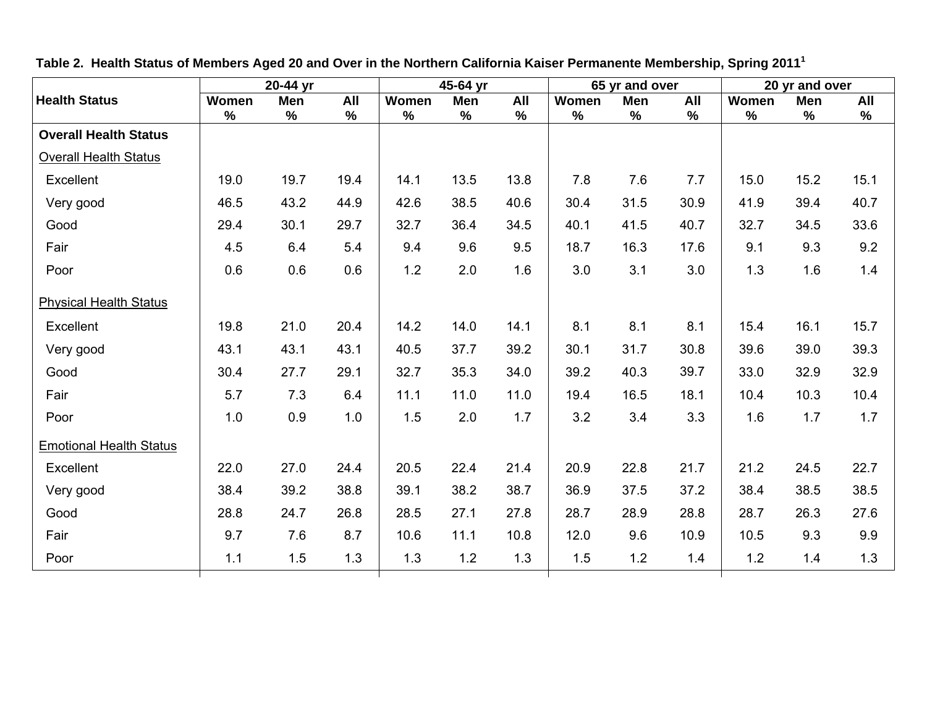| <b>Health Status</b><br>Women  | Men  |      |       | 45-64 yr |      |       | 65 yr and over |      |       | 20 yr and over |      |
|--------------------------------|------|------|-------|----------|------|-------|----------------|------|-------|----------------|------|
|                                |      | All  | Women | Men      | All  | Women | Men            | All  | Women | Men            | All  |
| $\%$                           | $\%$ | $\%$ | $\%$  | $\%$     | $\%$ | $\%$  | $\%$           | $\%$ | $\%$  | $\%$           | $\%$ |
| <b>Overall Health Status</b>   |      |      |       |          |      |       |                |      |       |                |      |
| <b>Overall Health Status</b>   |      |      |       |          |      |       |                |      |       |                |      |
| Excellent<br>19.0              | 19.7 | 19.4 | 14.1  | 13.5     | 13.8 | 7.8   | 7.6            | 7.7  | 15.0  | 15.2           | 15.1 |
| 46.5<br>Very good              | 43.2 | 44.9 | 42.6  | 38.5     | 40.6 | 30.4  | 31.5           | 30.9 | 41.9  | 39.4           | 40.7 |
| Good<br>29.4                   | 30.1 | 29.7 | 32.7  | 36.4     | 34.5 | 40.1  | 41.5           | 40.7 | 32.7  | 34.5           | 33.6 |
| Fair<br>4.5                    | 6.4  | 5.4  | 9.4   | 9.6      | 9.5  | 18.7  | 16.3           | 17.6 | 9.1   | 9.3            | 9.2  |
| 0.6<br>Poor                    | 0.6  | 0.6  | 1.2   | 2.0      | 1.6  | 3.0   | 3.1            | 3.0  | 1.3   | 1.6            | 1.4  |
| <b>Physical Health Status</b>  |      |      |       |          |      |       |                |      |       |                |      |
| 19.8<br>Excellent              | 21.0 | 20.4 | 14.2  | 14.0     | 14.1 | 8.1   | 8.1            | 8.1  | 15.4  | 16.1           | 15.7 |
| 43.1<br>Very good              | 43.1 | 43.1 | 40.5  | 37.7     | 39.2 | 30.1  | 31.7           | 30.8 | 39.6  | 39.0           | 39.3 |
| Good<br>30.4                   | 27.7 | 29.1 | 32.7  | 35.3     | 34.0 | 39.2  | 40.3           | 39.7 | 33.0  | 32.9           | 32.9 |
| Fair<br>5.7                    | 7.3  | 6.4  | 11.1  | 11.0     | 11.0 | 19.4  | 16.5           | 18.1 | 10.4  | 10.3           | 10.4 |
| 1.0<br>Poor                    | 0.9  | 1.0  | 1.5   | 2.0      | 1.7  | 3.2   | 3.4            | 3.3  | 1.6   | 1.7            | 1.7  |
| <b>Emotional Health Status</b> |      |      |       |          |      |       |                |      |       |                |      |
| Excellent<br>22.0              | 27.0 | 24.4 | 20.5  | 22.4     | 21.4 | 20.9  | 22.8           | 21.7 | 21.2  | 24.5           | 22.7 |
| Very good<br>38.4              | 39.2 | 38.8 | 39.1  | 38.2     | 38.7 | 36.9  | 37.5           | 37.2 | 38.4  | 38.5           | 38.5 |
| 28.8<br>Good                   | 24.7 | 26.8 | 28.5  | 27.1     | 27.8 | 28.7  | 28.9           | 28.8 | 28.7  | 26.3           | 27.6 |
| Fair<br>9.7                    | 7.6  | 8.7  | 10.6  | 11.1     | 10.8 | 12.0  | 9.6            | 10.9 | 10.5  | 9.3            | 9.9  |
| 1.1<br>Poor                    | 1.5  | 1.3  | 1.3   | $1.2$    | 1.3  | 1.5   | 1.2            | 1.4  | 1.2   | 1.4            | 1.3  |

**Table 2. Health Status of Members Aged 20 and Over in the Northern California Kaiser Permanente Membership, Spring 2011<sup>1</sup>**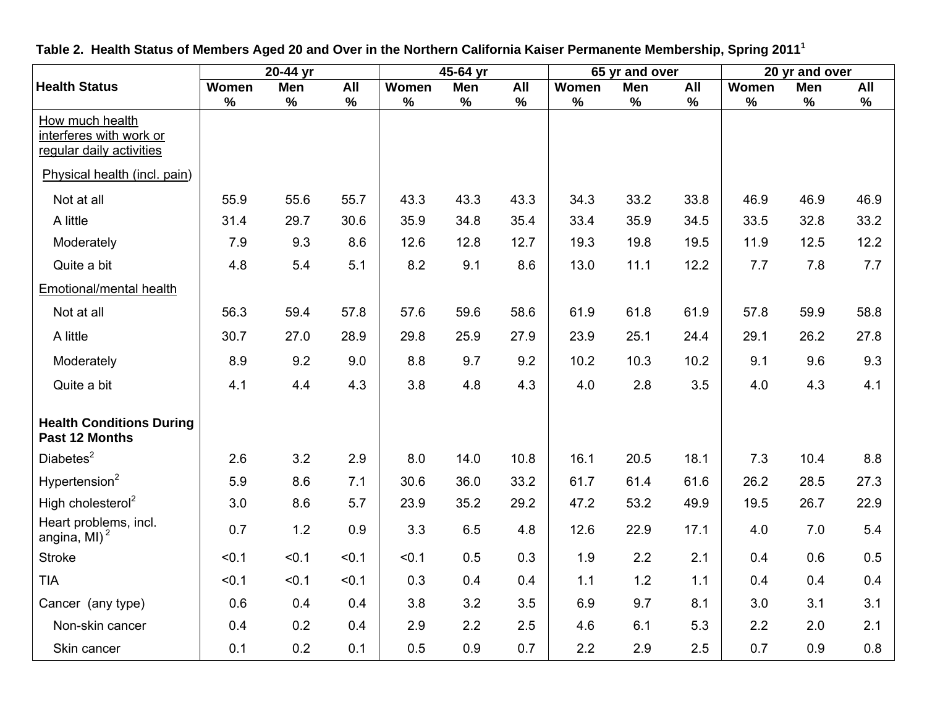|                                                                        |       | 20-44 yr |            |       | 45-64 yr |      |       | 65 yr and over |      |       | 20 yr and over |      |
|------------------------------------------------------------------------|-------|----------|------------|-------|----------|------|-------|----------------|------|-------|----------------|------|
| <b>Health Status</b>                                                   | Women | Men      | <b>All</b> | Women | Men      | All  | Women | Men            | All  | Women | <b>Men</b>     | All  |
| How much health<br>interferes with work or<br>regular daily activities | $\%$  | $\%$     | %          | $\%$  | $\%$     | %    | $\%$  | $\%$           | $\%$ | $\%$  | $\%$           | $\%$ |
| Physical health (incl. pain)                                           |       |          |            |       |          |      |       |                |      |       |                |      |
| Not at all                                                             | 55.9  | 55.6     | 55.7       | 43.3  | 43.3     | 43.3 | 34.3  | 33.2           | 33.8 | 46.9  | 46.9           | 46.9 |
| A little                                                               | 31.4  | 29.7     | 30.6       | 35.9  | 34.8     | 35.4 | 33.4  | 35.9           | 34.5 | 33.5  | 32.8           | 33.2 |
| Moderately                                                             | 7.9   | 9.3      | 8.6        | 12.6  | 12.8     | 12.7 | 19.3  | 19.8           | 19.5 | 11.9  | 12.5           | 12.2 |
| Quite a bit                                                            | 4.8   | 5.4      | 5.1        | 8.2   | 9.1      | 8.6  | 13.0  | 11.1           | 12.2 | 7.7   | 7.8            | 7.7  |
| Emotional/mental health                                                |       |          |            |       |          |      |       |                |      |       |                |      |
| Not at all                                                             | 56.3  | 59.4     | 57.8       | 57.6  | 59.6     | 58.6 | 61.9  | 61.8           | 61.9 | 57.8  | 59.9           | 58.8 |
| A little                                                               | 30.7  | 27.0     | 28.9       | 29.8  | 25.9     | 27.9 | 23.9  | 25.1           | 24.4 | 29.1  | 26.2           | 27.8 |
| Moderately                                                             | 8.9   | 9.2      | 9.0        | 8.8   | 9.7      | 9.2  | 10.2  | 10.3           | 10.2 | 9.1   | 9.6            | 9.3  |
| Quite a bit                                                            | 4.1   | 4.4      | 4.3        | 3.8   | 4.8      | 4.3  | 4.0   | 2.8            | 3.5  | 4.0   | 4.3            | 4.1  |
| <b>Health Conditions During</b><br>Past 12 Months                      |       |          |            |       |          |      |       |                |      |       |                |      |
| Diabetes <sup>2</sup>                                                  | 2.6   | 3.2      | 2.9        | 8.0   | 14.0     | 10.8 | 16.1  | 20.5           | 18.1 | 7.3   | 10.4           | 8.8  |
| Hypertension $2$                                                       | 5.9   | 8.6      | 7.1        | 30.6  | 36.0     | 33.2 | 61.7  | 61.4           | 61.6 | 26.2  | 28.5           | 27.3 |
| High cholesterol <sup>2</sup>                                          | 3.0   | 8.6      | 5.7        | 23.9  | 35.2     | 29.2 | 47.2  | 53.2           | 49.9 | 19.5  | 26.7           | 22.9 |
| Heart problems, incl.<br>angina, MI) $2$                               | 0.7   | $1.2$    | 0.9        | 3.3   | 6.5      | 4.8  | 12.6  | 22.9           | 17.1 | 4.0   | 7.0            | 5.4  |
| <b>Stroke</b>                                                          | < 0.1 | < 0.1    | < 0.1      | < 0.1 | 0.5      | 0.3  | 1.9   | 2.2            | 2.1  | 0.4   | 0.6            | 0.5  |
| <b>TIA</b>                                                             | < 0.1 | < 0.1    | < 0.1      | 0.3   | 0.4      | 0.4  | 1.1   | 1.2            | 1.1  | 0.4   | 0.4            | 0.4  |
| Cancer (any type)                                                      | 0.6   | 0.4      | 0.4        | 3.8   | 3.2      | 3.5  | 6.9   | 9.7            | 8.1  | 3.0   | 3.1            | 3.1  |
| Non-skin cancer                                                        | 0.4   | 0.2      | 0.4        | 2.9   | 2.2      | 2.5  | 4.6   | 6.1            | 5.3  | 2.2   | 2.0            | 2.1  |
| Skin cancer                                                            | 0.1   | 0.2      | 0.1        | 0.5   | 0.9      | 0.7  | 2.2   | 2.9            | 2.5  | 0.7   | 0.9            | 0.8  |

**Table 2. Health Status of Members Aged 20 and Over in the Northern California Kaiser Permanente Membership, Spring 2011<sup>1</sup>**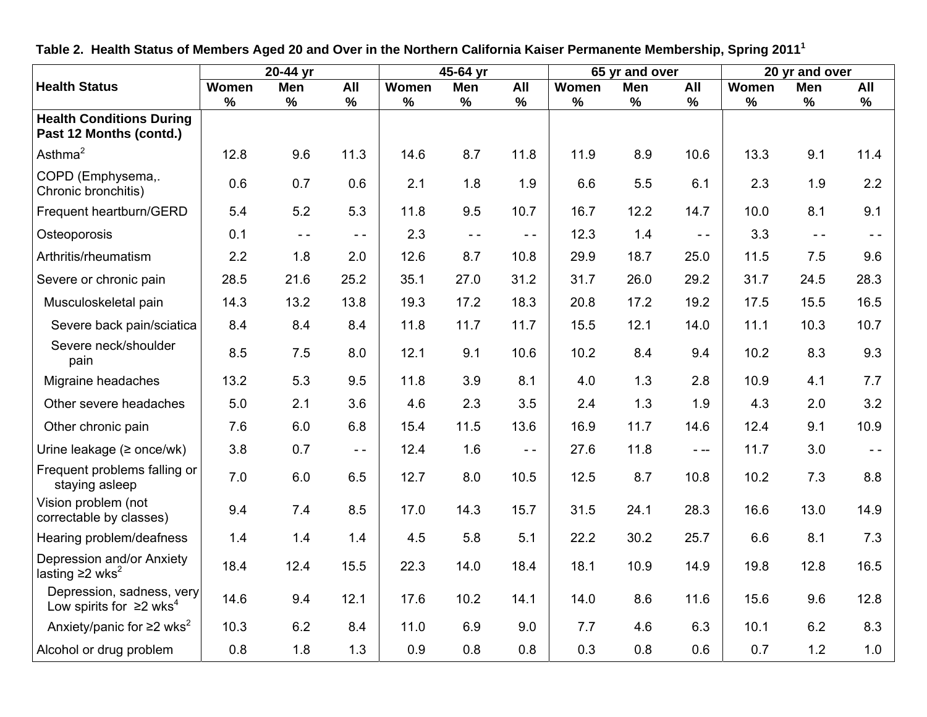|                                                                        |       | 20-44 yr      |               | 45-64 yr |                                   |                 |       | 65 yr and over |               | 20 yr and over |               |               |
|------------------------------------------------------------------------|-------|---------------|---------------|----------|-----------------------------------|-----------------|-------|----------------|---------------|----------------|---------------|---------------|
| <b>Health Status</b>                                                   | Women | Men           | All           | Women    | Men                               | All             | Women | Men            | All           | Women          | Men           | All           |
| <b>Health Conditions During</b><br>Past 12 Months (contd.)             | %     | $\%$          | %             | $\%$     | $\%$                              | $\%$            | %     | $\%$           | $\%$          | %              | $\frac{9}{6}$ | $\%$          |
| Asthma $2$                                                             | 12.8  | 9.6           | 11.3          | 14.6     | 8.7                               | 11.8            | 11.9  | 8.9            | 10.6          | 13.3           | 9.1           | 11.4          |
| COPD (Emphysema,.<br>Chronic bronchitis)                               | 0.6   | 0.7           | 0.6           | 2.1      | 1.8                               | 1.9             | 6.6   | 5.5            | 6.1           | 2.3            | 1.9           | 2.2           |
| Frequent heartburn/GERD                                                | 5.4   | 5.2           | 5.3           | 11.8     | 9.5                               | 10.7            | 16.7  | 12.2           | 14.7          | 10.0           | 8.1           | 9.1           |
| Osteoporosis                                                           | 0.1   | $\sim$ $\sim$ | $\sim$ $\sim$ | 2.3      | $\omega_{\rm c}$ $\omega_{\rm c}$ | $\perp$ $\perp$ | 12.3  | 1.4            | $\sim$ $\sim$ | 3.3            | $\sim$ $\sim$ | $\sim$ $\sim$ |
| Arthritis/rheumatism                                                   | 2.2   | 1.8           | 2.0           | 12.6     | 8.7                               | 10.8            | 29.9  | 18.7           | 25.0          | 11.5           | 7.5           | 9.6           |
| Severe or chronic pain                                                 | 28.5  | 21.6          | 25.2          | 35.1     | 27.0                              | 31.2            | 31.7  | 26.0           | 29.2          | 31.7           | 24.5          | 28.3          |
| Musculoskeletal pain                                                   | 14.3  | 13.2          | 13.8          | 19.3     | 17.2                              | 18.3            | 20.8  | 17.2           | 19.2          | 17.5           | 15.5          | 16.5          |
| Severe back pain/sciatica                                              | 8.4   | 8.4           | 8.4           | 11.8     | 11.7                              | 11.7            | 15.5  | 12.1           | 14.0          | 11.1           | 10.3          | 10.7          |
| Severe neck/shoulder<br>pain                                           | 8.5   | 7.5           | 8.0           | 12.1     | 9.1                               | 10.6            | 10.2  | 8.4            | 9.4           | 10.2           | 8.3           | 9.3           |
| Migraine headaches                                                     | 13.2  | 5.3           | 9.5           | 11.8     | 3.9                               | 8.1             | 4.0   | 1.3            | 2.8           | 10.9           | 4.1           | 7.7           |
| Other severe headaches                                                 | 5.0   | 2.1           | 3.6           | 4.6      | 2.3                               | 3.5             | 2.4   | 1.3            | 1.9           | 4.3            | 2.0           | 3.2           |
| Other chronic pain                                                     | 7.6   | 6.0           | 6.8           | 15.4     | 11.5                              | 13.6            | 16.9  | 11.7           | 14.6          | 12.4           | 9.1           | 10.9          |
| Urine leakage $($ > once/wk $)$                                        | 3.8   | 0.7           | $\sim$ $\sim$ | 12.4     | 1.6                               | $\sim$ $\sim$   | 27.6  | 11.8           | $\frac{1}{2}$ | 11.7           | 3.0           | $\sim$ $-$    |
| Frequent problems falling or<br>staying asleep                         | 7.0   | 6.0           | 6.5           | 12.7     | 8.0                               | 10.5            | 12.5  | 8.7            | 10.8          | 10.2           | 7.3           | 8.8           |
| Vision problem (not<br>correctable by classes)                         | 9.4   | 7.4           | 8.5           | 17.0     | 14.3                              | 15.7            | 31.5  | 24.1           | 28.3          | 16.6           | 13.0          | 14.9          |
| Hearing problem/deafness                                               | 1.4   | 1.4           | 1.4           | 4.5      | 5.8                               | 5.1             | 22.2  | 30.2           | 25.7          | 6.6            | 8.1           | 7.3           |
| Depression and/or Anxiety<br>lasting $\geq$ wks <sup>2</sup>           | 18.4  | 12.4          | 15.5          | 22.3     | 14.0                              | 18.4            | 18.1  | 10.9           | 14.9          | 19.8           | 12.8          | 16.5          |
| Depression, sadness, very<br>Low spirits for $\geq 2$ wks <sup>4</sup> | 14.6  | 9.4           | 12.1          | 17.6     | 10.2                              | 14.1            | 14.0  | 8.6            | 11.6          | 15.6           | 9.6           | 12.8          |
| Anxiety/panic for $\geq 2$ wks <sup>2</sup>                            | 10.3  | 6.2           | 8.4           | 11.0     | 6.9                               | 9.0             | 7.7   | 4.6            | 6.3           | 10.1           | 6.2           | 8.3           |
| Alcohol or drug problem                                                | 0.8   | 1.8           | 1.3           | 0.9      | 0.8                               | 0.8             | 0.3   | 0.8            | 0.6           | 0.7            | 1.2           | 1.0           |

**Table 2. Health Status of Members Aged 20 and Over in the Northern California Kaiser Permanente Membership, Spring 2011<sup>1</sup>**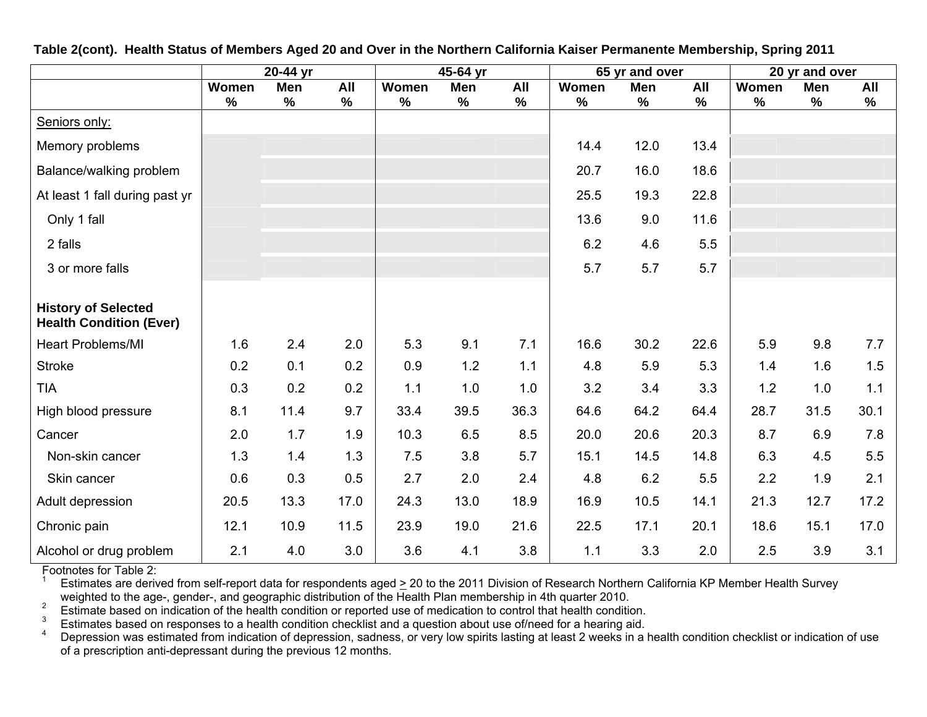|                                                              | $\overline{2}$ 0-44 yr |             |             | 45-64 yr      |             |             | 65 yr and over |             |             | 20 yr and over |             |             |
|--------------------------------------------------------------|------------------------|-------------|-------------|---------------|-------------|-------------|----------------|-------------|-------------|----------------|-------------|-------------|
|                                                              | Women<br>$\%$          | Men<br>$\%$ | All<br>$\%$ | Women<br>$\%$ | Men<br>$\%$ | All<br>$\%$ | Women<br>$\%$  | Men<br>$\%$ | All<br>$\%$ | Women<br>$\%$  | Men<br>$\%$ | All<br>$\%$ |
| Seniors only:                                                |                        |             |             |               |             |             |                |             |             |                |             |             |
| Memory problems                                              |                        |             |             |               |             |             | 14.4           | 12.0        | 13.4        |                |             |             |
| Balance/walking problem                                      |                        |             |             |               |             |             | 20.7           | 16.0        | 18.6        |                |             |             |
| At least 1 fall during past yr                               |                        |             |             |               |             |             | 25.5           | 19.3        | 22.8        |                |             |             |
| Only 1 fall                                                  |                        |             |             |               |             |             | 13.6           | 9.0         | 11.6        |                |             |             |
| 2 falls                                                      |                        |             |             |               |             |             | 6.2            | 4.6         | 5.5         |                |             |             |
| 3 or more falls                                              |                        |             |             |               |             |             | 5.7            | 5.7         | 5.7         |                |             |             |
|                                                              |                        |             |             |               |             |             |                |             |             |                |             |             |
| <b>History of Selected</b><br><b>Health Condition (Ever)</b> |                        |             |             |               |             |             |                |             |             |                |             |             |
| <b>Heart Problems/MI</b>                                     | 1.6                    | 2.4         | 2.0         | 5.3           | 9.1         | 7.1         | 16.6           | 30.2        | 22.6        | 5.9            | 9.8         | 7.7         |
| <b>Stroke</b>                                                | 0.2                    | 0.1         | 0.2         | 0.9           | 1.2         | 1.1         | 4.8            | 5.9         | 5.3         | 1.4            | 1.6         | 1.5         |
| <b>TIA</b>                                                   | 0.3                    | 0.2         | 0.2         | 1.1           | 1.0         | 1.0         | 3.2            | 3.4         | 3.3         | 1.2            | 1.0         | 1.1         |
| High blood pressure                                          | 8.1                    | 11.4        | 9.7         | 33.4          | 39.5        | 36.3        | 64.6           | 64.2        | 64.4        | 28.7           | 31.5        | 30.1        |
| Cancer                                                       | 2.0                    | 1.7         | 1.9         | 10.3          | 6.5         | 8.5         | 20.0           | 20.6        | 20.3        | 8.7            | 6.9         | 7.8         |
| Non-skin cancer                                              | 1.3                    | 1.4         | 1.3         | 7.5           | 3.8         | 5.7         | 15.1           | 14.5        | 14.8        | 6.3            | 4.5         | 5.5         |
| Skin cancer                                                  | 0.6                    | 0.3         | 0.5         | 2.7           | 2.0         | 2.4         | 4.8            | 6.2         | 5.5         | 2.2            | 1.9         | 2.1         |
| Adult depression                                             | 20.5                   | 13.3        | 17.0        | 24.3          | 13.0        | 18.9        | 16.9           | 10.5        | 14.1        | 21.3           | 12.7        | 17.2        |
| Chronic pain                                                 | 12.1                   | 10.9        | 11.5        | 23.9          | 19.0        | 21.6        | 22.5           | 17.1        | 20.1        | 18.6           | 15.1        | 17.0        |
| Alcohol or drug problem                                      | 2.1                    | 4.0         | 3.0         | 3.6           | 4.1         | 3.8         | 1.1            | 3.3         | 2.0         | 2.5            | 3.9         | 3.1         |

**Table 2(cont). Health Status of Members Aged 20 and Over in the Northern California Kaiser Permanente Membership, Spring 2011** 

Footnotes for Table 2:

<sup>1</sup> Estimates are derived from self-report data for respondents aged  $\geq$  20 to the 2011 Division of Research Northern California KP Member Health Survey

weighted to the age-, gender-, and geographic distribution of the Health Plan membership in 4th quarter 2010.<br>
Estimate based on indication of the health condition or reported use of medication to control that health condi of a prescription anti-depressant during the previous 12 months.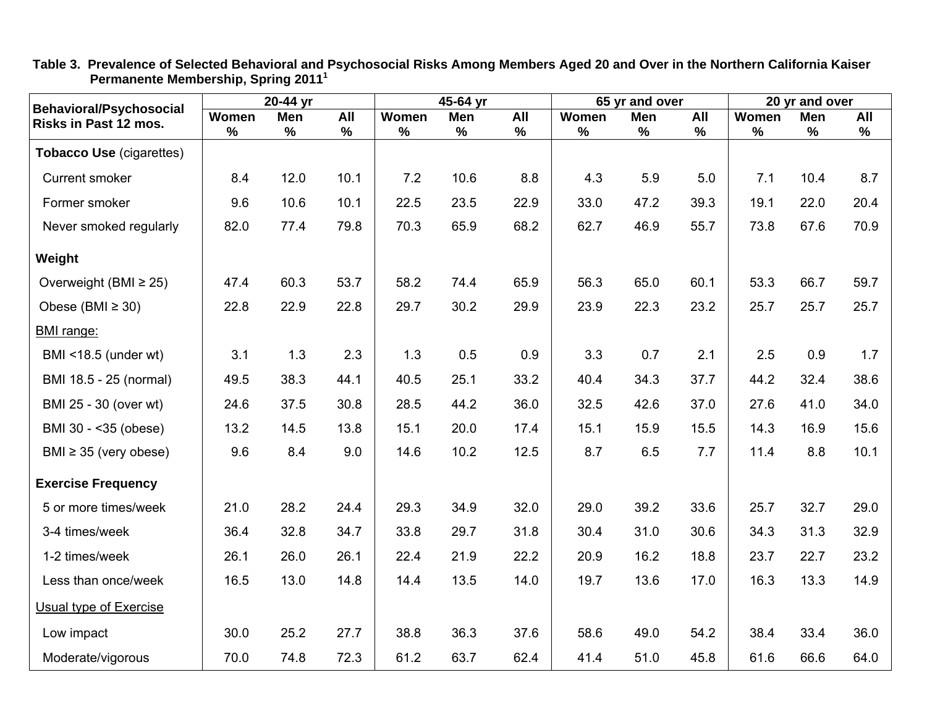| <b>Behavioral/Psychosocial</b>  |       | $20-44$ yr |      | $45-64$ yr |               |      | 65 yr and over |            |               | 20 yr and over |      |      |
|---------------------------------|-------|------------|------|------------|---------------|------|----------------|------------|---------------|----------------|------|------|
| Risks in Past 12 mos.           | Women | Men        | All  | Women      | <b>Men</b>    | All  | Women          | <b>Men</b> | All           | Women          | Men  | All  |
|                                 | $\%$  | $\%$       | $\%$ | $\%$       | $\frac{9}{6}$ | $\%$ | $\frac{0}{0}$  | %          | $\frac{9}{6}$ | $\%$           | $\%$ | $\%$ |
| <b>Tobacco Use (cigarettes)</b> |       |            |      |            |               |      |                |            |               |                |      |      |
| <b>Current smoker</b>           | 8.4   | 12.0       | 10.1 | 7.2        | 10.6          | 8.8  | 4.3            | 5.9        | 5.0           | 7.1            | 10.4 | 8.7  |
| Former smoker                   | 9.6   | 10.6       | 10.1 | 22.5       | 23.5          | 22.9 | 33.0           | 47.2       | 39.3          | 19.1           | 22.0 | 20.4 |
| Never smoked regularly          | 82.0  | 77.4       | 79.8 | 70.3       | 65.9          | 68.2 | 62.7           | 46.9       | 55.7          | 73.8           | 67.6 | 70.9 |
| Weight                          |       |            |      |            |               |      |                |            |               |                |      |      |
| Overweight (BMI $\geq$ 25)      | 47.4  | 60.3       | 53.7 | 58.2       | 74.4          | 65.9 | 56.3           | 65.0       | 60.1          | 53.3           | 66.7 | 59.7 |
| Obese (BMI $\geq$ 30)           | 22.8  | 22.9       | 22.8 | 29.7       | 30.2          | 29.9 | 23.9           | 22.3       | 23.2          | 25.7           | 25.7 | 25.7 |
| BMI range:                      |       |            |      |            |               |      |                |            |               |                |      |      |
| BMI <18.5 (under wt)            | 3.1   | 1.3        | 2.3  | 1.3        | 0.5           | 0.9  | 3.3            | 0.7        | 2.1           | 2.5            | 0.9  | 1.7  |
| BMI 18.5 - 25 (normal)          | 49.5  | 38.3       | 44.1 | 40.5       | 25.1          | 33.2 | 40.4           | 34.3       | 37.7          | 44.2           | 32.4 | 38.6 |
| BMI 25 - 30 (over wt)           | 24.6  | 37.5       | 30.8 | 28.5       | 44.2          | 36.0 | 32.5           | 42.6       | 37.0          | 27.6           | 41.0 | 34.0 |
| BMI 30 - < 35 (obese)           | 13.2  | 14.5       | 13.8 | 15.1       | 20.0          | 17.4 | 15.1           | 15.9       | 15.5          | 14.3           | 16.9 | 15.6 |
| BMI $\geq$ 35 (very obese)      | 9.6   | 8.4        | 9.0  | 14.6       | 10.2          | 12.5 | 8.7            | 6.5        | 7.7           | 11.4           | 8.8  | 10.1 |
| <b>Exercise Frequency</b>       |       |            |      |            |               |      |                |            |               |                |      |      |
| 5 or more times/week            | 21.0  | 28.2       | 24.4 | 29.3       | 34.9          | 32.0 | 29.0           | 39.2       | 33.6          | 25.7           | 32.7 | 29.0 |
| 3-4 times/week                  | 36.4  | 32.8       | 34.7 | 33.8       | 29.7          | 31.8 | 30.4           | 31.0       | 30.6          | 34.3           | 31.3 | 32.9 |
| 1-2 times/week                  | 26.1  | 26.0       | 26.1 | 22.4       | 21.9          | 22.2 | 20.9           | 16.2       | 18.8          | 23.7           | 22.7 | 23.2 |
| Less than once/week             | 16.5  | 13.0       | 14.8 | 14.4       | 13.5          | 14.0 | 19.7           | 13.6       | 17.0          | 16.3           | 13.3 | 14.9 |
| Usual type of Exercise          |       |            |      |            |               |      |                |            |               |                |      |      |
| Low impact                      | 30.0  | 25.2       | 27.7 | 38.8       | 36.3          | 37.6 | 58.6           | 49.0       | 54.2          | 38.4           | 33.4 | 36.0 |
| Moderate/vigorous               | 70.0  | 74.8       | 72.3 | 61.2       | 63.7          | 62.4 | 41.4           | 51.0       | 45.8          | 61.6           | 66.6 | 64.0 |

**Table 3. Prevalence of Selected Behavioral and Psychosocial Risks Among Members Aged 20 and Over in the Northern California Kaiser Permanente Membership, Spring 2011<sup>1</sup>**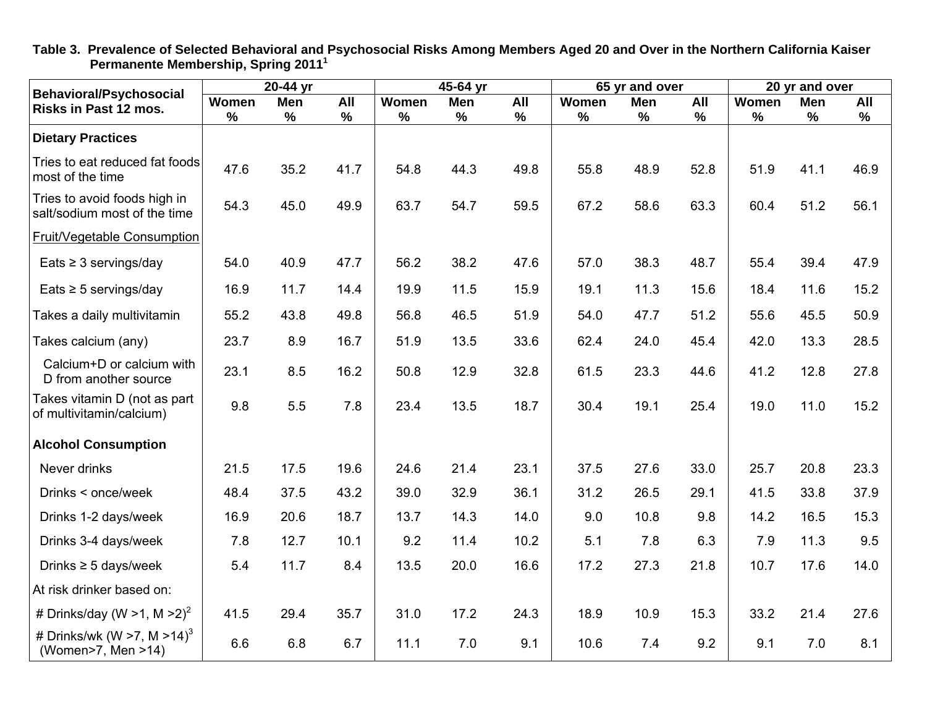| <b>Behavioral/Psychosocial</b>                               |       | 20-44 yr |      | 45-64 yr |      |      | 65 yr and over |            |      | 20 yr and over |      |      |
|--------------------------------------------------------------|-------|----------|------|----------|------|------|----------------|------------|------|----------------|------|------|
| Risks in Past 12 mos.                                        | Women | Men      | All  | Women    | Men  | All  | Women          | <b>Men</b> | All  | Women          | Men  | All  |
|                                                              | $\%$  | $\%$     | $\%$ | $\%$     | $\%$ | $\%$ | $\%$           | %          | $\%$ | $\%$           | $\%$ | $\%$ |
| <b>Dietary Practices</b>                                     |       |          |      |          |      |      |                |            |      |                |      |      |
| Tries to eat reduced fat foods<br>most of the time           | 47.6  | 35.2     | 41.7 | 54.8     | 44.3 | 49.8 | 55.8           | 48.9       | 52.8 | 51.9           | 41.1 | 46.9 |
| Tries to avoid foods high in<br>salt/sodium most of the time | 54.3  | 45.0     | 49.9 | 63.7     | 54.7 | 59.5 | 67.2           | 58.6       | 63.3 | 60.4           | 51.2 | 56.1 |
| Fruit/Vegetable Consumption                                  |       |          |      |          |      |      |                |            |      |                |      |      |
| Eats $\geq$ 3 servings/day                                   | 54.0  | 40.9     | 47.7 | 56.2     | 38.2 | 47.6 | 57.0           | 38.3       | 48.7 | 55.4           | 39.4 | 47.9 |
| Eats $\geq$ 5 servings/day                                   | 16.9  | 11.7     | 14.4 | 19.9     | 11.5 | 15.9 | 19.1           | 11.3       | 15.6 | 18.4           | 11.6 | 15.2 |
| Takes a daily multivitamin                                   | 55.2  | 43.8     | 49.8 | 56.8     | 46.5 | 51.9 | 54.0           | 47.7       | 51.2 | 55.6           | 45.5 | 50.9 |
| Takes calcium (any)                                          | 23.7  | 8.9      | 16.7 | 51.9     | 13.5 | 33.6 | 62.4           | 24.0       | 45.4 | 42.0           | 13.3 | 28.5 |
| Calcium+D or calcium with<br>D from another source           | 23.1  | 8.5      | 16.2 | 50.8     | 12.9 | 32.8 | 61.5           | 23.3       | 44.6 | 41.2           | 12.8 | 27.8 |
| Takes vitamin D (not as part<br>of multivitamin/calcium)     | 9.8   | 5.5      | 7.8  | 23.4     | 13.5 | 18.7 | 30.4           | 19.1       | 25.4 | 19.0           | 11.0 | 15.2 |
| <b>Alcohol Consumption</b>                                   |       |          |      |          |      |      |                |            |      |                |      |      |
| Never drinks                                                 | 21.5  | 17.5     | 19.6 | 24.6     | 21.4 | 23.1 | 37.5           | 27.6       | 33.0 | 25.7           | 20.8 | 23.3 |
| Drinks < once/week                                           | 48.4  | 37.5     | 43.2 | 39.0     | 32.9 | 36.1 | 31.2           | 26.5       | 29.1 | 41.5           | 33.8 | 37.9 |
| Drinks 1-2 days/week                                         | 16.9  | 20.6     | 18.7 | 13.7     | 14.3 | 14.0 | 9.0            | 10.8       | 9.8  | 14.2           | 16.5 | 15.3 |
| Drinks 3-4 days/week                                         | 7.8   | 12.7     | 10.1 | 9.2      | 11.4 | 10.2 | 5.1            | 7.8        | 6.3  | 7.9            | 11.3 | 9.5  |
| Drinks $\geq$ 5 days/week                                    | 5.4   | 11.7     | 8.4  | 13.5     | 20.0 | 16.6 | 17.2           | 27.3       | 21.8 | 10.7           | 17.6 | 14.0 |
| At risk drinker based on:                                    |       |          |      |          |      |      |                |            |      |                |      |      |
| # Drinks/day (W > 1, M $>2$ ) <sup>2</sup>                   | 41.5  | 29.4     | 35.7 | 31.0     | 17.2 | 24.3 | 18.9           | 10.9       | 15.3 | 33.2           | 21.4 | 27.6 |
| # Drinks/wk (W >7, M >14) <sup>3</sup><br>(Women>7, Men >14) | 6.6   | 6.8      | 6.7  | 11.1     | 7.0  | 9.1  | 10.6           | 7.4        | 9.2  | 9.1            | 7.0  | 8.1  |

**Table 3. Prevalence of Selected Behavioral and Psychosocial Risks Among Members Aged 20 and Over in the Northern California Kaiser Permanente Membership, Spring 2011<sup>1</sup>**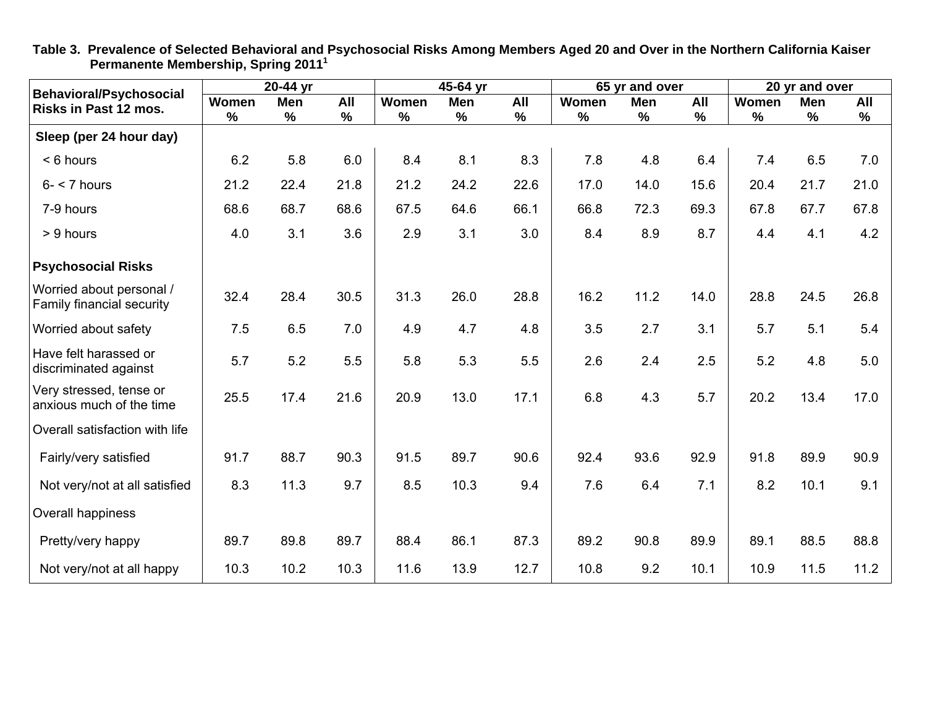|                                                         |       | 20-44 yr |      |       | 45-64 yr |      |       | 65 yr and over |      |       | 20 yr and over |      |
|---------------------------------------------------------|-------|----------|------|-------|----------|------|-------|----------------|------|-------|----------------|------|
| <b>Behavioral/Psychosocial</b><br>Risks in Past 12 mos. | Women | Men      | All  | Women | Men      | All  | Women | Men            | All  | Women | <b>Men</b>     | All  |
|                                                         | $\%$  | %        | $\%$ | $\%$  | $\%$     | $\%$ | %     | $\%$           | $\%$ | $\%$  | $\%$           | %    |
| Sleep (per 24 hour day)                                 |       |          |      |       |          |      |       |                |      |       |                |      |
| < 6 hours                                               | 6.2   | 5.8      | 6.0  | 8.4   | 8.1      | 8.3  | 7.8   | 4.8            | 6.4  | 7.4   | 6.5            | 7.0  |
| $6 - 7$ hours                                           | 21.2  | 22.4     | 21.8 | 21.2  | 24.2     | 22.6 | 17.0  | 14.0           | 15.6 | 20.4  | 21.7           | 21.0 |
| 7-9 hours                                               | 68.6  | 68.7     | 68.6 | 67.5  | 64.6     | 66.1 | 66.8  | 72.3           | 69.3 | 67.8  | 67.7           | 67.8 |
| > 9 hours                                               | 4.0   | 3.1      | 3.6  | 2.9   | 3.1      | 3.0  | 8.4   | 8.9            | 8.7  | 4.4   | 4.1            | 4.2  |
| <b>Psychosocial Risks</b>                               |       |          |      |       |          |      |       |                |      |       |                |      |
| Worried about personal /<br>Family financial security   | 32.4  | 28.4     | 30.5 | 31.3  | 26.0     | 28.8 | 16.2  | 11.2           | 14.0 | 28.8  | 24.5           | 26.8 |
| Worried about safety                                    | 7.5   | 6.5      | 7.0  | 4.9   | 4.7      | 4.8  | 3.5   | 2.7            | 3.1  | 5.7   | 5.1            | 5.4  |
| Have felt harassed or<br>discriminated against          | 5.7   | 5.2      | 5.5  | 5.8   | 5.3      | 5.5  | 2.6   | 2.4            | 2.5  | 5.2   | 4.8            | 5.0  |
| Very stressed, tense or<br>anxious much of the time     | 25.5  | 17.4     | 21.6 | 20.9  | 13.0     | 17.1 | 6.8   | 4.3            | 5.7  | 20.2  | 13.4           | 17.0 |
| Overall satisfaction with life                          |       |          |      |       |          |      |       |                |      |       |                |      |
| Fairly/very satisfied                                   | 91.7  | 88.7     | 90.3 | 91.5  | 89.7     | 90.6 | 92.4  | 93.6           | 92.9 | 91.8  | 89.9           | 90.9 |
| Not very/not at all satisfied                           | 8.3   | 11.3     | 9.7  | 8.5   | 10.3     | 9.4  | 7.6   | 6.4            | 7.1  | 8.2   | 10.1           | 9.1  |
| Overall happiness                                       |       |          |      |       |          |      |       |                |      |       |                |      |
| Pretty/very happy                                       | 89.7  | 89.8     | 89.7 | 88.4  | 86.1     | 87.3 | 89.2  | 90.8           | 89.9 | 89.1  | 88.5           | 88.8 |
| Not very/not at all happy                               | 10.3  | 10.2     | 10.3 | 11.6  | 13.9     | 12.7 | 10.8  | 9.2            | 10.1 | 10.9  | 11.5           | 11.2 |

**Table 3. Prevalence of Selected Behavioral and Psychosocial Risks Among Members Aged 20 and Over in the Northern California Kaiser Permanente Membership, Spring 2011<sup>1</sup>**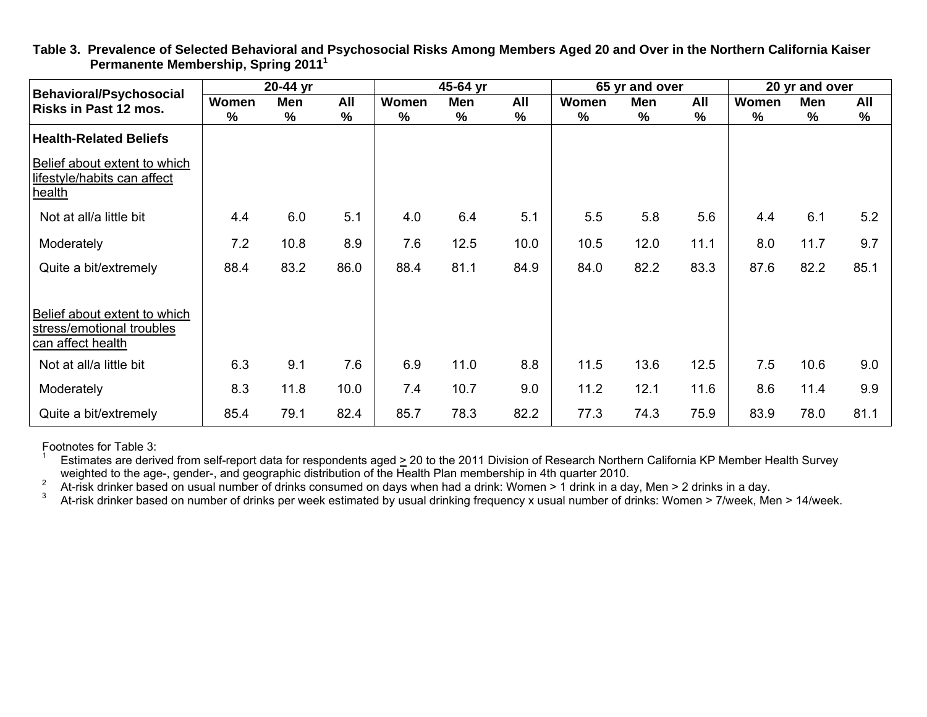| <b>Behavioral/Psychosocial</b>                                                 |       | 20-44 yr |      |               | 45-64 yr |      |       | 65 yr and over |      |       | 20 yr and over |               |
|--------------------------------------------------------------------------------|-------|----------|------|---------------|----------|------|-------|----------------|------|-------|----------------|---------------|
| Risks in Past 12 mos.                                                          | Women | Men      | All  | Women         | Men      | All  | Women | Men            | All  | Women | Men            | All           |
|                                                                                | $\%$  | %        | %    | $\frac{0}{0}$ | %        | %    | %     | %              | $\%$ | %     | %              | $\frac{0}{0}$ |
| <b>Health-Related Beliefs</b>                                                  |       |          |      |               |          |      |       |                |      |       |                |               |
| Belief about extent to which<br>lifestyle/habits can affect<br>health          |       |          |      |               |          |      |       |                |      |       |                |               |
| Not at all/a little bit                                                        | 4.4   | 6.0      | 5.1  | 4.0           | 6.4      | 5.1  | 5.5   | 5.8            | 5.6  | 4.4   | 6.1            | 5.2           |
| Moderately                                                                     | 7.2   | 10.8     | 8.9  | 7.6           | 12.5     | 10.0 | 10.5  | 12.0           | 11.1 | 8.0   | 11.7           | 9.7           |
| Quite a bit/extremely                                                          | 88.4  | 83.2     | 86.0 | 88.4          | 81.1     | 84.9 | 84.0  | 82.2           | 83.3 | 87.6  | 82.2           | 85.1          |
| Belief about extent to which<br>stress/emotional troubles<br>can affect health |       |          |      |               |          |      |       |                |      |       |                |               |
| Not at all/a little bit                                                        | 6.3   | 9.1      | 7.6  | 6.9           | 11.0     | 8.8  | 11.5  | 13.6           | 12.5 | 7.5   | 10.6           | 9.0           |
| Moderately                                                                     | 8.3   | 11.8     | 10.0 | 7.4           | 10.7     | 9.0  | 11.2  | 12.1           | 11.6 | 8.6   | 11.4           | 9.9           |
| Quite a bit/extremely                                                          | 85.4  | 79.1     | 82.4 | 85.7          | 78.3     | 82.2 | 77.3  | 74.3           | 75.9 | 83.9  | 78.0           | 81.1          |

**Table 3. Prevalence of Selected Behavioral and Psychosocial Risks Among Members Aged 20 and Over in the Northern California Kaiser Permanente Membership, Spring 2011<sup>1</sup>**

Footnotes for Table 3:

Estimates are derived from self-report data for respondents aged  $\geq$  20 to the 2011 Division of Research Northern California KP Member Health Survey weighted to the age-, gender-, and geographic distribution of the Heal

<sup>2</sup> At-risk drinker based on usual number of drinks consumed on days when had a drink: Women > 1 drink in a day, Men > 2 drinks in a day.<br><sup>3</sup> At-risk drinker based on number of drinks per week estimated by usual drinking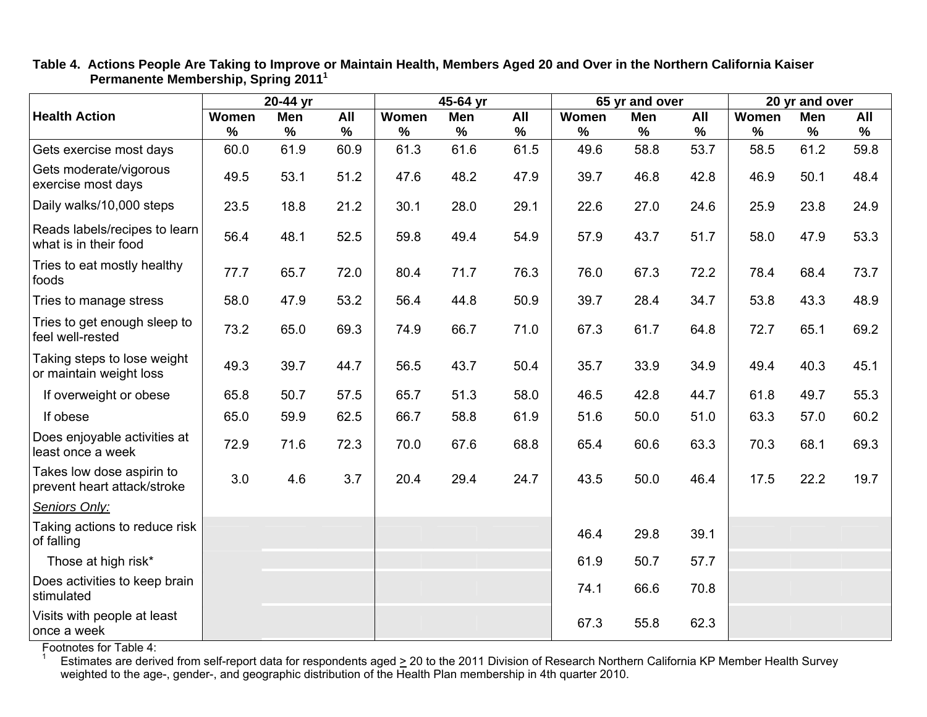|                                                          |       | 20-44 yr      |               |       | 45-64 yr |      |       | 65 yr and over |      |       | 20 yr and over |      |
|----------------------------------------------------------|-------|---------------|---------------|-------|----------|------|-------|----------------|------|-------|----------------|------|
| <b>Health Action</b>                                     | Women | <b>Men</b>    | All           | Women | Men      | All  | Women | <b>Men</b>     | All  | Women | <b>Men</b>     | All  |
|                                                          | $\%$  | $\frac{9}{6}$ | $\frac{9}{6}$ | %     | $\%$     | %    | $\%$  | $\%$           | $\%$ | %     | $\frac{9}{6}$  | $\%$ |
| Gets exercise most days                                  | 60.0  | 61.9          | 60.9          | 61.3  | 61.6     | 61.5 | 49.6  | 58.8           | 53.7 | 58.5  | 61.2           | 59.8 |
| Gets moderate/vigorous<br>exercise most days             | 49.5  | 53.1          | 51.2          | 47.6  | 48.2     | 47.9 | 39.7  | 46.8           | 42.8 | 46.9  | 50.1           | 48.4 |
| Daily walks/10,000 steps                                 | 23.5  | 18.8          | 21.2          | 30.1  | 28.0     | 29.1 | 22.6  | 27.0           | 24.6 | 25.9  | 23.8           | 24.9 |
| Reads labels/recipes to learn<br>what is in their food   | 56.4  | 48.1          | 52.5          | 59.8  | 49.4     | 54.9 | 57.9  | 43.7           | 51.7 | 58.0  | 47.9           | 53.3 |
| Tries to eat mostly healthy<br>foods                     | 77.7  | 65.7          | 72.0          | 80.4  | 71.7     | 76.3 | 76.0  | 67.3           | 72.2 | 78.4  | 68.4           | 73.7 |
| Tries to manage stress                                   | 58.0  | 47.9          | 53.2          | 56.4  | 44.8     | 50.9 | 39.7  | 28.4           | 34.7 | 53.8  | 43.3           | 48.9 |
| Tries to get enough sleep to<br>feel well-rested         | 73.2  | 65.0          | 69.3          | 74.9  | 66.7     | 71.0 | 67.3  | 61.7           | 64.8 | 72.7  | 65.1           | 69.2 |
| Taking steps to lose weight<br>or maintain weight loss   | 49.3  | 39.7          | 44.7          | 56.5  | 43.7     | 50.4 | 35.7  | 33.9           | 34.9 | 49.4  | 40.3           | 45.1 |
| If overweight or obese                                   | 65.8  | 50.7          | 57.5          | 65.7  | 51.3     | 58.0 | 46.5  | 42.8           | 44.7 | 61.8  | 49.7           | 55.3 |
| If obese                                                 | 65.0  | 59.9          | 62.5          | 66.7  | 58.8     | 61.9 | 51.6  | 50.0           | 51.0 | 63.3  | 57.0           | 60.2 |
| Does enjoyable activities at<br>least once a week        | 72.9  | 71.6          | 72.3          | 70.0  | 67.6     | 68.8 | 65.4  | 60.6           | 63.3 | 70.3  | 68.1           | 69.3 |
| Takes low dose aspirin to<br>prevent heart attack/stroke | 3.0   | 4.6           | 3.7           | 20.4  | 29.4     | 24.7 | 43.5  | 50.0           | 46.4 | 17.5  | 22.2           | 19.7 |
| Seniors Only:                                            |       |               |               |       |          |      |       |                |      |       |                |      |
| Taking actions to reduce risk<br>of falling              |       |               |               |       |          |      | 46.4  | 29.8           | 39.1 |       |                |      |
| Those at high risk*                                      |       |               |               |       |          |      | 61.9  | 50.7           | 57.7 |       |                |      |
| Does activities to keep brain<br>stimulated              |       |               |               |       |          |      | 74.1  | 66.6           | 70.8 |       |                |      |
| Visits with people at least<br>once a week               |       |               |               |       |          |      | 67.3  | 55.8           | 62.3 |       |                |      |

**Table 4. Actions People Are Taking to Improve or Maintain Health, Members Aged 20 and Over in the Northern California Kaiser Permanente Membership, Spring 2011<sup>1</sup>**

Footnotes for Table 4:

<sup>1</sup> Estimates are derived from self-report data for respondents aged  $\geq$  20 to the 2011 Division of Research Northern California KP Member Health Survey weighted to the age-, gender-, and geographic distribution of the Health Plan membership in 4th quarter 2010.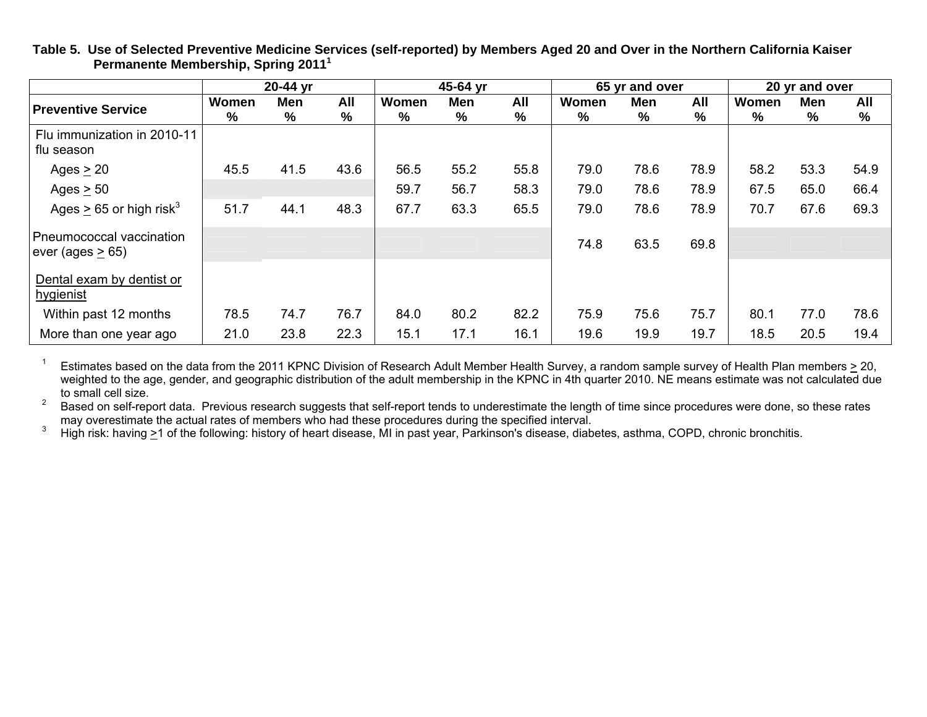|                                                   |       | 20-44 yr<br>All<br>Men |      |       | 45-64 yr      |      | 65 yr and over |               |      | 20 yr and over |      |      |
|---------------------------------------------------|-------|------------------------|------|-------|---------------|------|----------------|---------------|------|----------------|------|------|
| <b>Preventive Service</b>                         | Women |                        |      | Women | Men           | All  | Women          | <b>Men</b>    | All  | Women          | Men  | All  |
|                                                   | %     | %                      | %    | $\%$  | $\frac{9}{6}$ | %    | %              | $\frac{9}{6}$ | %    | %              | %    | %    |
| Flu immunization in 2010-11<br>flu season         |       |                        |      |       |               |      |                |               |      |                |      |      |
| Ages $\geq$ 20                                    | 45.5  | 41.5                   | 43.6 | 56.5  | 55.2          | 55.8 | 79.0           | 78.6          | 78.9 | 58.2           | 53.3 | 54.9 |
| Ages $\geq$ 50                                    |       |                        |      | 59.7  | 56.7          | 58.3 | 79.0           | 78.6          | 78.9 | 67.5           | 65.0 | 66.4 |
| Ages $\geq$ 65 or high risk <sup>3</sup>          | 51.7  | 44.1                   | 48.3 | 67.7  | 63.3          | 65.5 | 79.0           | 78.6          | 78.9 | 70.7           | 67.6 | 69.3 |
| Pneumococcal vaccination<br>ever (ages $\geq$ 65) |       |                        |      |       |               |      | 74.8           | 63.5          | 69.8 |                |      |      |
| Dental exam by dentist or<br>hygienist            |       |                        |      |       |               |      |                |               |      |                |      |      |
| Within past 12 months                             | 78.5  | 74.7                   | 76.7 | 84.0  | 80.2          | 82.2 | 75.9           | 75.6          | 75.7 | 80.1           | 77.0 | 78.6 |
| More than one year ago                            | 21.0  | 23.8                   | 22.3 | 15.1  | 17.1          | 16.1 | 19.6           | 19.9          | 19.7 | 18.5           | 20.5 | 19.4 |

**Table 5. Use of Selected Preventive Medicine Services (self-reported) by Members Aged 20 and Over in the Northern California Kaiser Permanente Membership, Spring 2011<sup>1</sup>**

<sup>1</sup> Estimates based on the data from the 2011 KPNC Division of Research Adult Member Health Survey, a random sample survey of Health Plan members > 20, weighted to the age, gender, and geographic distribution of the adult membership in the KPNC in 4th quarter 2010. NE means estimate was not calculated due

to small cell size.<br>2 Based on self-report data. Previous research suggests that self-report tends to underestimate the length of time since procedures were done, so these rates<br>2 may overestimate the actual rates of membe

<sup>3</sup> High risk: having >1 of the following: history of heart disease. MI in past year, Parkinson's disease, diabetes, asthma, COPD, chronic bronchitis.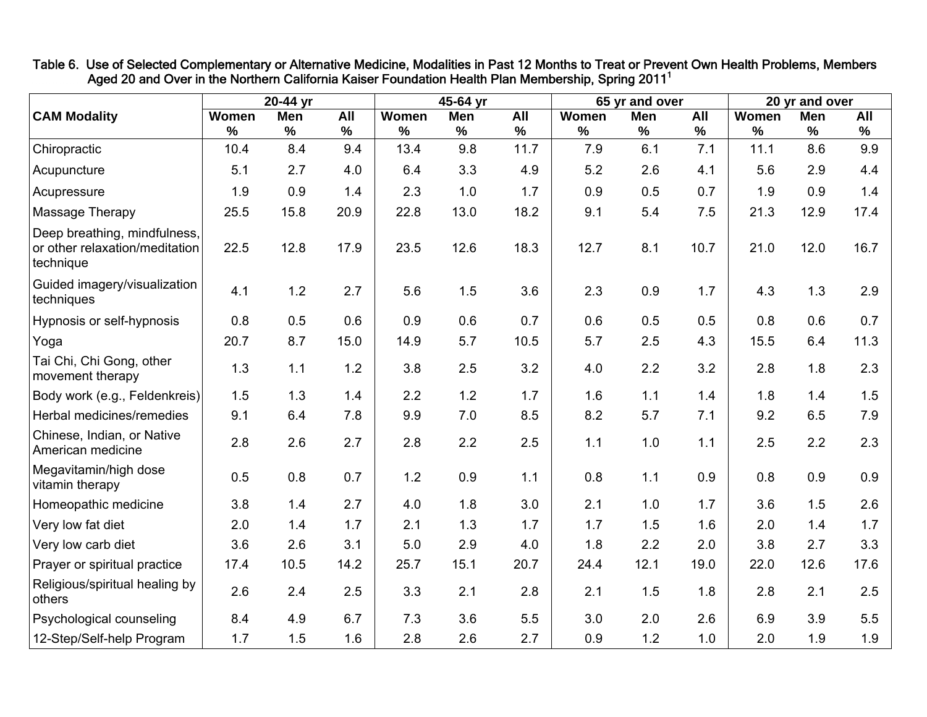|                                                                             |               | 20-44 yr |      |       | 45-64 yr   |      |       | 65 yr and over |      |       | 20 yr and over |      |
|-----------------------------------------------------------------------------|---------------|----------|------|-------|------------|------|-------|----------------|------|-------|----------------|------|
| <b>CAM Modality</b>                                                         | Women         | Men      | All  | Women | <b>Men</b> | All  | Women | Men            | All  | Women | Men            | All  |
|                                                                             | $\frac{9}{6}$ | $\%$     | $\%$ | %     | %          | $\%$ | %     | $\%$           | $\%$ | $\%$  | $\%$           | %    |
| Chiropractic                                                                | 10.4          | 8.4      | 9.4  | 13.4  | 9.8        | 11.7 | 7.9   | 6.1            | 7.1  | 11.1  | 8.6            | 9.9  |
| Acupuncture                                                                 | 5.1           | 2.7      | 4.0  | 6.4   | 3.3        | 4.9  | 5.2   | 2.6            | 4.1  | 5.6   | 2.9            | 4.4  |
| Acupressure                                                                 | 1.9           | 0.9      | 1.4  | 2.3   | 1.0        | 1.7  | 0.9   | 0.5            | 0.7  | 1.9   | 0.9            | 1.4  |
| Massage Therapy                                                             | 25.5          | 15.8     | 20.9 | 22.8  | 13.0       | 18.2 | 9.1   | 5.4            | 7.5  | 21.3  | 12.9           | 17.4 |
| Deep breathing, mindfulness,<br>or other relaxation/meditation<br>technique | 22.5          | 12.8     | 17.9 | 23.5  | 12.6       | 18.3 | 12.7  | 8.1            | 10.7 | 21.0  | 12.0           | 16.7 |
| Guided imagery/visualization<br>techniques                                  | 4.1           | 1.2      | 2.7  | 5.6   | 1.5        | 3.6  | 2.3   | 0.9            | 1.7  | 4.3   | 1.3            | 2.9  |
| Hypnosis or self-hypnosis                                                   | 0.8           | 0.5      | 0.6  | 0.9   | 0.6        | 0.7  | 0.6   | 0.5            | 0.5  | 0.8   | 0.6            | 0.7  |
| Yoga                                                                        | 20.7          | 8.7      | 15.0 | 14.9  | 5.7        | 10.5 | 5.7   | 2.5            | 4.3  | 15.5  | 6.4            | 11.3 |
| Tai Chi, Chi Gong, other<br>movement therapy                                | 1.3           | 1.1      | 1.2  | 3.8   | 2.5        | 3.2  | 4.0   | 2.2            | 3.2  | 2.8   | 1.8            | 2.3  |
| Body work (e.g., Feldenkreis)                                               | 1.5           | 1.3      | 1.4  | 2.2   | 1.2        | 1.7  | 1.6   | 1.1            | 1.4  | 1.8   | 1.4            | 1.5  |
| Herbal medicines/remedies                                                   | 9.1           | 6.4      | 7.8  | 9.9   | 7.0        | 8.5  | 8.2   | 5.7            | 7.1  | 9.2   | 6.5            | 7.9  |
| Chinese, Indian, or Native<br>American medicine                             | 2.8           | 2.6      | 2.7  | 2.8   | 2.2        | 2.5  | 1.1   | 1.0            | 1.1  | 2.5   | 2.2            | 2.3  |
| Megavitamin/high dose<br>vitamin therapy                                    | 0.5           | 0.8      | 0.7  | 1.2   | 0.9        | 1.1  | 0.8   | 1.1            | 0.9  | 0.8   | 0.9            | 0.9  |
| Homeopathic medicine                                                        | 3.8           | 1.4      | 2.7  | 4.0   | 1.8        | 3.0  | 2.1   | 1.0            | 1.7  | 3.6   | 1.5            | 2.6  |
| Very low fat diet                                                           | 2.0           | 1.4      | 1.7  | 2.1   | 1.3        | 1.7  | 1.7   | 1.5            | 1.6  | 2.0   | 1.4            | 1.7  |
| Very low carb diet                                                          | 3.6           | 2.6      | 3.1  | 5.0   | 2.9        | 4.0  | 1.8   | 2.2            | 2.0  | 3.8   | 2.7            | 3.3  |
| Prayer or spiritual practice                                                | 17.4          | 10.5     | 14.2 | 25.7  | 15.1       | 20.7 | 24.4  | 12.1           | 19.0 | 22.0  | 12.6           | 17.6 |
| Religious/spiritual healing by<br>others                                    | 2.6           | 2.4      | 2.5  | 3.3   | 2.1        | 2.8  | 2.1   | 1.5            | 1.8  | 2.8   | 2.1            | 2.5  |
| Psychological counseling                                                    | 8.4           | 4.9      | 6.7  | 7.3   | 3.6        | 5.5  | 3.0   | 2.0            | 2.6  | 6.9   | 3.9            | 5.5  |
| 12-Step/Self-help Program                                                   | 1.7           | 1.5      | 1.6  | 2.8   | 2.6        | 2.7  | 0.9   | 1.2            | 1.0  | 2.0   | 1.9            | 1.9  |

Table 6. Use of Selected Complementary or Alternative Medicine, Modalities in Past 12 Months to Treat or Prevent Own Health Problems, Members Aged 20 and Over in the Northern California Kaiser Foundation Health Plan Membership, Spring 2011<sup>1</sup>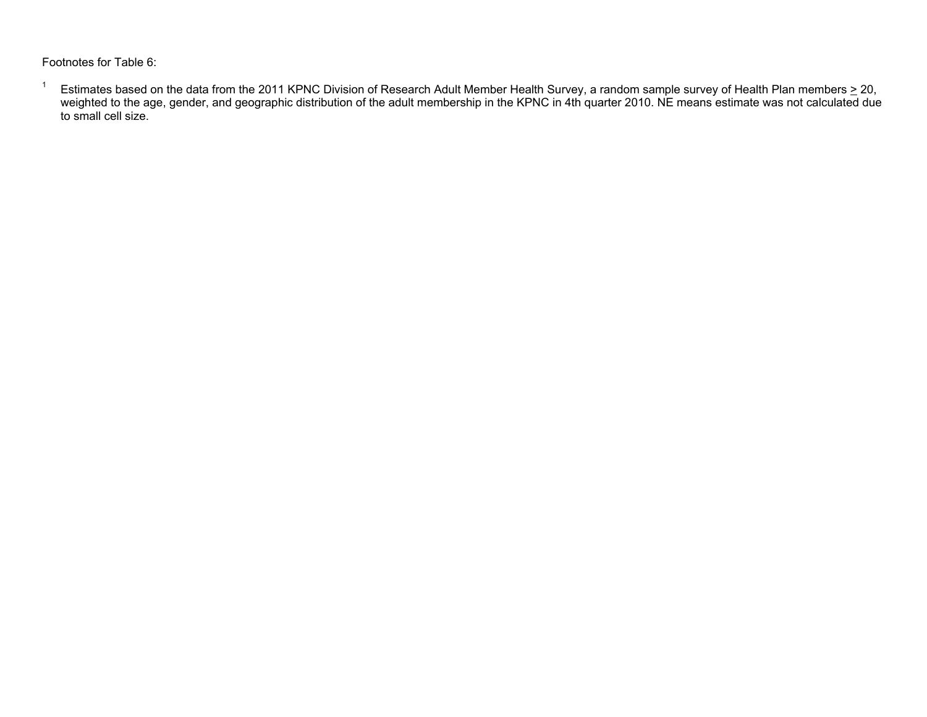Footnotes for Table 6:

<sup>1</sup> Estimates based on the data from the 2011 KPNC Division of Research Adult Member Health Survey, a random sample survey of Health Plan members  $\geq$  20, weighted to the age, gender, and geographic distribution of the adult membership in the KPNC in 4th quarter 2010. NE means estimate was not calculated due to small cell size.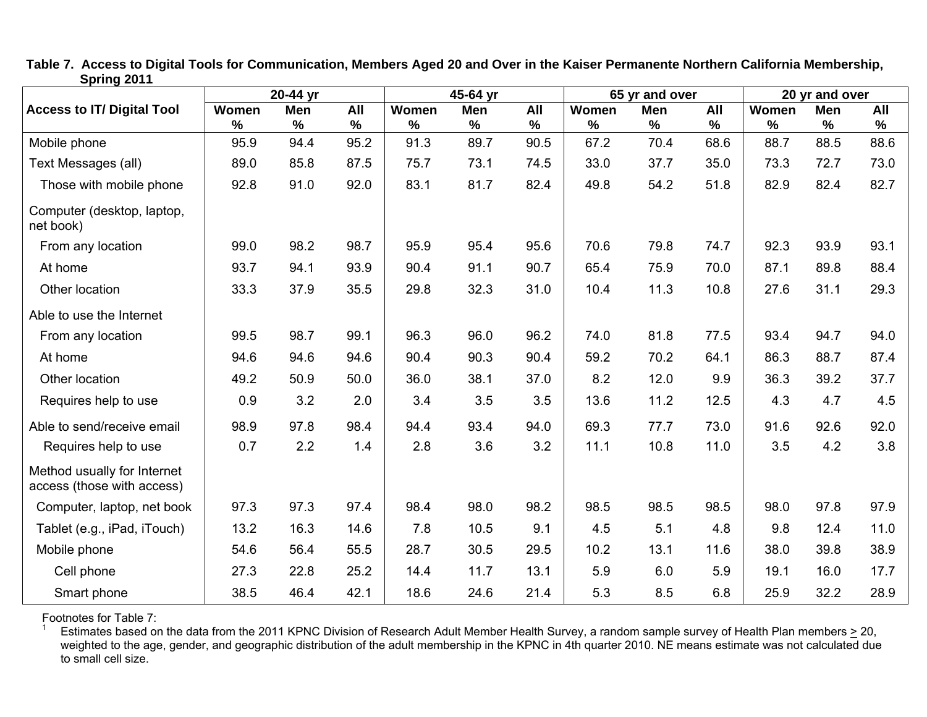|                                                           |                        | 20-44 yr           |                          |               | 45-64 yr |                    |               | 65 yr and over |                    |            | 20 yr and over  |             |
|-----------------------------------------------------------|------------------------|--------------------|--------------------------|---------------|----------|--------------------|---------------|----------------|--------------------|------------|-----------------|-------------|
| <b>Access to IT/ Digital Tool</b>                         | Women<br>$\frac{9}{6}$ | <b>Men</b><br>$\%$ | $\overline{All}$<br>$\%$ | Women<br>$\%$ | Men<br>% | <b>All</b><br>$\%$ | Women<br>$\%$ | Men<br>$\%$    | <b>All</b><br>$\%$ | Women<br>% | <b>Men</b><br>% | All<br>$\%$ |
| Mobile phone                                              | 95.9                   | 94.4               | 95.2                     | 91.3          | 89.7     | 90.5               | 67.2          | 70.4           | 68.6               | 88.7       | 88.5            | 88.6        |
| Text Messages (all)                                       | 89.0                   | 85.8               | 87.5                     | 75.7          | 73.1     | 74.5               | 33.0          | 37.7           | 35.0               | 73.3       | 72.7            | 73.0        |
| Those with mobile phone                                   | 92.8                   | 91.0               | 92.0                     | 83.1          | 81.7     | 82.4               | 49.8          | 54.2           | 51.8               | 82.9       | 82.4            | 82.7        |
| Computer (desktop, laptop,<br>net book)                   |                        |                    |                          |               |          |                    |               |                |                    |            |                 |             |
| From any location                                         | 99.0                   | 98.2               | 98.7                     | 95.9          | 95.4     | 95.6               | 70.6          | 79.8           | 74.7               | 92.3       | 93.9            | 93.1        |
| At home                                                   | 93.7                   | 94.1               | 93.9                     | 90.4          | 91.1     | 90.7               | 65.4          | 75.9           | 70.0               | 87.1       | 89.8            | 88.4        |
| Other location                                            | 33.3                   | 37.9               | 35.5                     | 29.8          | 32.3     | 31.0               | 10.4          | 11.3           | 10.8               | 27.6       | 31.1            | 29.3        |
| Able to use the Internet                                  |                        |                    |                          |               |          |                    |               |                |                    |            |                 |             |
| From any location                                         | 99.5                   | 98.7               | 99.1                     | 96.3          | 96.0     | 96.2               | 74.0          | 81.8           | 77.5               | 93.4       | 94.7            | 94.0        |
| At home                                                   | 94.6                   | 94.6               | 94.6                     | 90.4          | 90.3     | 90.4               | 59.2          | 70.2           | 64.1               | 86.3       | 88.7            | 87.4        |
| Other location                                            | 49.2                   | 50.9               | 50.0                     | 36.0          | 38.1     | 37.0               | 8.2           | 12.0           | 9.9                | 36.3       | 39.2            | 37.7        |
| Requires help to use                                      | 0.9                    | 3.2                | 2.0                      | 3.4           | 3.5      | 3.5                | 13.6          | 11.2           | 12.5               | 4.3        | 4.7             | 4.5         |
| Able to send/receive email                                | 98.9                   | 97.8               | 98.4                     | 94.4          | 93.4     | 94.0               | 69.3          | 77.7           | 73.0               | 91.6       | 92.6            | 92.0        |
| Requires help to use                                      | 0.7                    | 2.2                | 1.4                      | 2.8           | 3.6      | 3.2                | 11.1          | 10.8           | 11.0               | 3.5        | 4.2             | 3.8         |
| Method usually for Internet<br>access (those with access) |                        |                    |                          |               |          |                    |               |                |                    |            |                 |             |
| Computer, laptop, net book                                | 97.3                   | 97.3               | 97.4                     | 98.4          | 98.0     | 98.2               | 98.5          | 98.5           | 98.5               | 98.0       | 97.8            | 97.9        |
| Tablet (e.g., iPad, iTouch)                               | 13.2                   | 16.3               | 14.6                     | 7.8           | 10.5     | 9.1                | 4.5           | 5.1            | 4.8                | 9.8        | 12.4            | 11.0        |
| Mobile phone                                              | 54.6                   | 56.4               | 55.5                     | 28.7          | 30.5     | 29.5               | 10.2          | 13.1           | 11.6               | 38.0       | 39.8            | 38.9        |
| Cell phone                                                | 27.3                   | 22.8               | 25.2                     | 14.4          | 11.7     | 13.1               | 5.9           | 6.0            | 5.9                | 19.1       | 16.0            | 17.7        |
| Smart phone                                               | 38.5                   | 46.4               | 42.1                     | 18.6          | 24.6     | 21.4               | 5.3           | 8.5            | 6.8                | 25.9       | 32.2            | 28.9        |

**Table 7. Access to Digital Tools for Communication, Members Aged 20 and Over in the Kaiser Permanente Northern California Membership, Spring 2011** 

Footnotes for Table 7:

<sup>1</sup> Estimates based on the data from the 2011 KPNC Division of Research Adult Member Health Survey, a random sample survey of Health Plan members  $\geq$  20, weighted to the age, gender, and geographic distribution of the adult membership in the KPNC in 4th quarter 2010. NE means estimate was not calculated due to small cell size.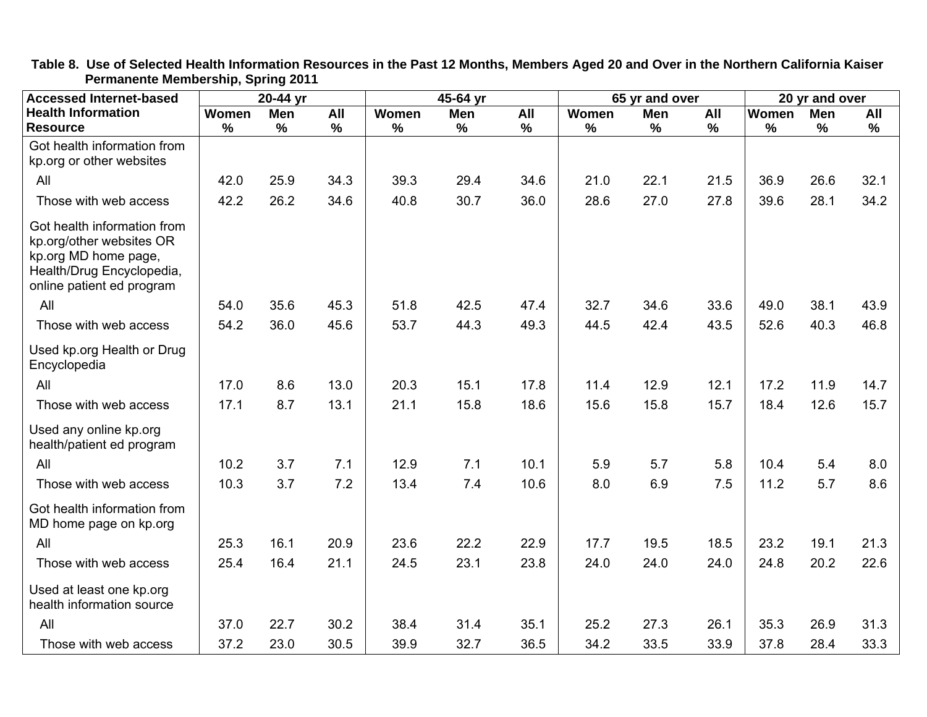| <b>Accessed Internet-based</b>                                                                                                            |       | 20-44 yr   |      |       | 45-64 yr   |      |              | 65 yr and over |      |       | 20 yr and over |      |
|-------------------------------------------------------------------------------------------------------------------------------------------|-------|------------|------|-------|------------|------|--------------|----------------|------|-------|----------------|------|
| <b>Health Information</b>                                                                                                                 | Women | <b>Men</b> | All  | Women | <b>Men</b> | All  | <b>Women</b> | <b>Men</b>     | All  | Women | <b>Men</b>     | All  |
| <b>Resource</b>                                                                                                                           | $\%$  | %          | $\%$ | $\%$  | %          | %    | $\%$         | $\%$           | $\%$ | %     | $\%$           | $\%$ |
| Got health information from<br>kp.org or other websites                                                                                   |       |            |      |       |            |      |              |                |      |       |                |      |
| All                                                                                                                                       | 42.0  | 25.9       | 34.3 | 39.3  | 29.4       | 34.6 | 21.0         | 22.1           | 21.5 | 36.9  | 26.6           | 32.1 |
| Those with web access                                                                                                                     | 42.2  | 26.2       | 34.6 | 40.8  | 30.7       | 36.0 | 28.6         | 27.0           | 27.8 | 39.6  | 28.1           | 34.2 |
| Got health information from<br>kp.org/other websites OR<br>kp.org MD home page,<br>Health/Drug Encyclopedia,<br>online patient ed program |       |            |      |       |            |      |              |                |      |       |                |      |
| All                                                                                                                                       | 54.0  | 35.6       | 45.3 | 51.8  | 42.5       | 47.4 | 32.7         | 34.6           | 33.6 | 49.0  | 38.1           | 43.9 |
| Those with web access                                                                                                                     | 54.2  | 36.0       | 45.6 | 53.7  | 44.3       | 49.3 | 44.5         | 42.4           | 43.5 | 52.6  | 40.3           | 46.8 |
| Used kp.org Health or Drug<br>Encyclopedia                                                                                                |       |            |      |       |            |      |              |                |      |       |                |      |
| All                                                                                                                                       | 17.0  | 8.6        | 13.0 | 20.3  | 15.1       | 17.8 | 11.4         | 12.9           | 12.1 | 17.2  | 11.9           | 14.7 |
| Those with web access                                                                                                                     | 17.1  | 8.7        | 13.1 | 21.1  | 15.8       | 18.6 | 15.6         | 15.8           | 15.7 | 18.4  | 12.6           | 15.7 |
| Used any online kp.org<br>health/patient ed program                                                                                       |       |            |      |       |            |      |              |                |      |       |                |      |
| All                                                                                                                                       | 10.2  | 3.7        | 7.1  | 12.9  | 7.1        | 10.1 | 5.9          | 5.7            | 5.8  | 10.4  | 5.4            | 8.0  |
| Those with web access                                                                                                                     | 10.3  | 3.7        | 7.2  | 13.4  | 7.4        | 10.6 | 8.0          | 6.9            | 7.5  | 11.2  | 5.7            | 8.6  |
| Got health information from<br>MD home page on kp.org                                                                                     |       |            |      |       |            |      |              |                |      |       |                |      |
| All                                                                                                                                       | 25.3  | 16.1       | 20.9 | 23.6  | 22.2       | 22.9 | 17.7         | 19.5           | 18.5 | 23.2  | 19.1           | 21.3 |
| Those with web access                                                                                                                     | 25.4  | 16.4       | 21.1 | 24.5  | 23.1       | 23.8 | 24.0         | 24.0           | 24.0 | 24.8  | 20.2           | 22.6 |
| Used at least one kp.org<br>health information source                                                                                     |       |            |      |       |            |      |              |                |      |       |                |      |
| All                                                                                                                                       | 37.0  | 22.7       | 30.2 | 38.4  | 31.4       | 35.1 | 25.2         | 27.3           | 26.1 | 35.3  | 26.9           | 31.3 |
| Those with web access                                                                                                                     | 37.2  | 23.0       | 30.5 | 39.9  | 32.7       | 36.5 | 34.2         | 33.5           | 33.9 | 37.8  | 28.4           | 33.3 |

**Table 8. Use of Selected Health Information Resources in the Past 12 Months, Members Aged 20 and Over in the Northern California Kaiser Permanente Membership, Spring 2011**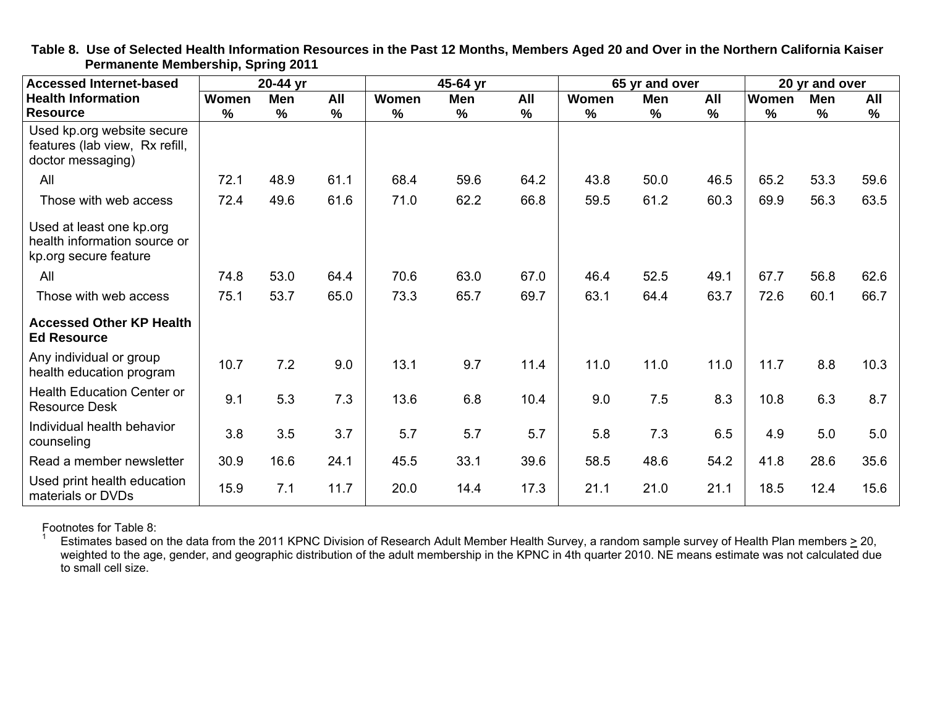| <b>Accessed Internet-based</b>                                                    | 20-44 yr      |               |               | 45-64 yr      |               |               | 65 yr and over |               |               | 20 yr and over |      |               |
|-----------------------------------------------------------------------------------|---------------|---------------|---------------|---------------|---------------|---------------|----------------|---------------|---------------|----------------|------|---------------|
| <b>Health Information</b>                                                         | Women         | <b>Men</b>    | All           | Women         | Men           | All           | Women          | Men           | All           | Women          | Men  | All           |
| <b>Resource</b>                                                                   | $\frac{0}{0}$ | $\frac{9}{6}$ | $\frac{9}{6}$ | $\frac{9}{6}$ | $\frac{9}{6}$ | $\frac{1}{2}$ | $\%$           | $\frac{9}{6}$ | $\frac{0}{0}$ | %              | $\%$ | $\frac{0}{0}$ |
| Used kp.org website secure<br>features (lab view, Rx refill,<br>doctor messaging) |               |               |               |               |               |               |                |               |               |                |      |               |
| All                                                                               | 72.1          | 48.9          | 61.1          | 68.4          | 59.6          | 64.2          | 43.8           | 50.0          | 46.5          | 65.2           | 53.3 | 59.6          |
| Those with web access                                                             | 72.4          | 49.6          | 61.6          | 71.0          | 62.2          | 66.8          | 59.5           | 61.2          | 60.3          | 69.9           | 56.3 | 63.5          |
| Used at least one kp.org<br>health information source or<br>kp.org secure feature |               |               |               |               |               |               |                |               |               |                |      |               |
| All                                                                               | 74.8          | 53.0          | 64.4          | 70.6          | 63.0          | 67.0          | 46.4           | 52.5          | 49.1          | 67.7           | 56.8 | 62.6          |
| Those with web access                                                             | 75.1          | 53.7          | 65.0          | 73.3          | 65.7          | 69.7          | 63.1           | 64.4          | 63.7          | 72.6           | 60.1 | 66.7          |
| <b>Accessed Other KP Health</b><br><b>Ed Resource</b>                             |               |               |               |               |               |               |                |               |               |                |      |               |
| Any individual or group<br>health education program                               | 10.7          | 7.2           | 9.0           | 13.1          | 9.7           | 11.4          | 11.0           | 11.0          | 11.0          | 11.7           | 8.8  | 10.3          |
| <b>Health Education Center or</b><br><b>Resource Desk</b>                         | 9.1           | 5.3           | 7.3           | 13.6          | 6.8           | 10.4          | 9.0            | 7.5           | 8.3           | 10.8           | 6.3  | 8.7           |
| Individual health behavior<br>counseling                                          | 3.8           | 3.5           | 3.7           | 5.7           | 5.7           | 5.7           | 5.8            | 7.3           | 6.5           | 4.9            | 5.0  | 5.0           |
| Read a member newsletter                                                          | 30.9          | 16.6          | 24.1          | 45.5          | 33.1          | 39.6          | 58.5           | 48.6          | 54.2          | 41.8           | 28.6 | 35.6          |
| Used print health education<br>materials or DVDs                                  | 15.9          | 7.1           | 11.7          | 20.0          | 14.4          | 17.3          | 21.1           | 21.0          | 21.1          | 18.5           | 12.4 | 15.6          |

**Table 8. Use of Selected Health Information Resources in the Past 12 Months, Members Aged 20 and Over in the Northern California Kaiser Permanente Membership, Spring 2011** 

Footnotes for Table 8:

Estimates based on the data from the 2011 KPNC Division of Research Adult Member Health Survey, a random sample survey of Health Plan members  $\geq$  20, weighted to the age, gender, and geographic distribution of the adult membership in the KPNC in 4th quarter 2010. NE means estimate was not calculated due to small cell size.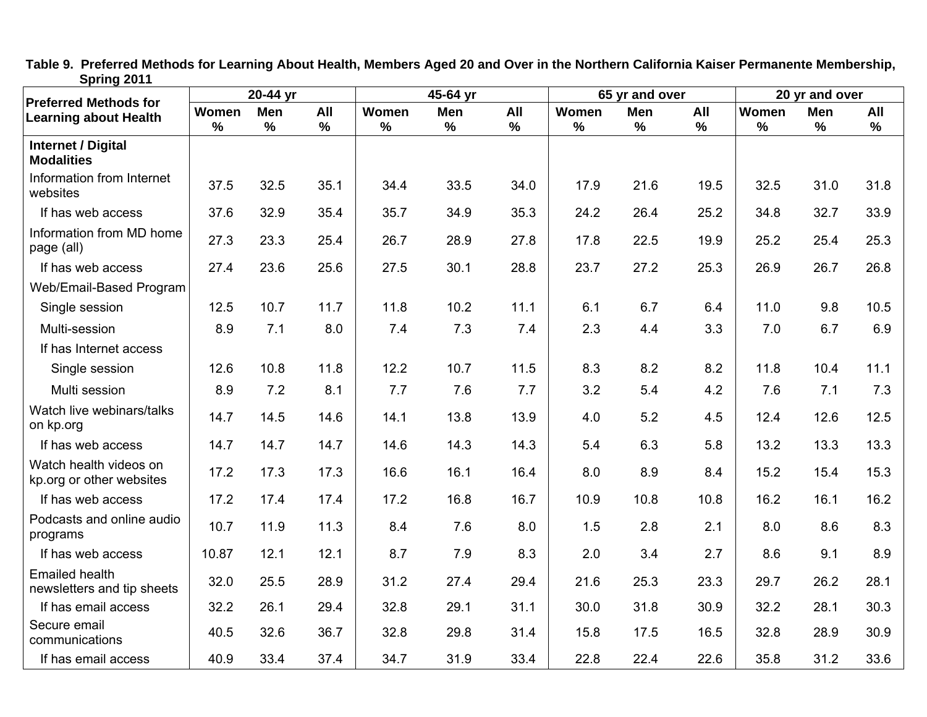| opning zo i i                                                | $20-44$ yr    |             | $45-64$ yr |               | 65 yr and over |             |               | 20 yr and over |          |               |          |             |
|--------------------------------------------------------------|---------------|-------------|------------|---------------|----------------|-------------|---------------|----------------|----------|---------------|----------|-------------|
| <b>Preferred Methods for</b><br><b>Learning about Health</b> | Women<br>$\%$ | Men<br>$\%$ | All<br>%   | Women<br>$\%$ | Men<br>$\%$    | All<br>$\%$ | Women<br>$\%$ | Men<br>%       | All<br>% | Women<br>$\%$ | Men<br>% | All<br>$\%$ |
| <b>Internet / Digital</b><br><b>Modalities</b>               |               |             |            |               |                |             |               |                |          |               |          |             |
| Information from Internet<br>websites                        | 37.5          | 32.5        | 35.1       | 34.4          | 33.5           | 34.0        | 17.9          | 21.6           | 19.5     | 32.5          | 31.0     | 31.8        |
| If has web access                                            | 37.6          | 32.9        | 35.4       | 35.7          | 34.9           | 35.3        | 24.2          | 26.4           | 25.2     | 34.8          | 32.7     | 33.9        |
| Information from MD home<br>page (all)                       | 27.3          | 23.3        | 25.4       | 26.7          | 28.9           | 27.8        | 17.8          | 22.5           | 19.9     | 25.2          | 25.4     | 25.3        |
| If has web access                                            | 27.4          | 23.6        | 25.6       | 27.5          | 30.1           | 28.8        | 23.7          | 27.2           | 25.3     | 26.9          | 26.7     | 26.8        |
| Web/Email-Based Program                                      |               |             |            |               |                |             |               |                |          |               |          |             |
| Single session                                               | 12.5          | 10.7        | 11.7       | 11.8          | 10.2           | 11.1        | 6.1           | 6.7            | 6.4      | 11.0          | 9.8      | 10.5        |
| Multi-session                                                | 8.9           | 7.1         | 8.0        | 7.4           | 7.3            | 7.4         | 2.3           | 4.4            | 3.3      | 7.0           | 6.7      | 6.9         |
| If has Internet access                                       |               |             |            |               |                |             |               |                |          |               |          |             |
| Single session                                               | 12.6          | 10.8        | 11.8       | 12.2          | 10.7           | 11.5        | 8.3           | 8.2            | 8.2      | 11.8          | 10.4     | 11.1        |
| Multi session                                                | 8.9           | 7.2         | 8.1        | 7.7           | 7.6            | 7.7         | 3.2           | 5.4            | 4.2      | 7.6           | 7.1      | 7.3         |
| Watch live webinars/talks<br>on kp.org                       | 14.7          | 14.5        | 14.6       | 14.1          | 13.8           | 13.9        | 4.0           | 5.2            | 4.5      | 12.4          | 12.6     | 12.5        |
| If has web access                                            | 14.7          | 14.7        | 14.7       | 14.6          | 14.3           | 14.3        | 5.4           | 6.3            | 5.8      | 13.2          | 13.3     | 13.3        |
| Watch health videos on<br>kp.org or other websites           | 17.2          | 17.3        | 17.3       | 16.6          | 16.1           | 16.4        | 8.0           | 8.9            | 8.4      | 15.2          | 15.4     | 15.3        |
| If has web access                                            | 17.2          | 17.4        | 17.4       | 17.2          | 16.8           | 16.7        | 10.9          | 10.8           | 10.8     | 16.2          | 16.1     | 16.2        |
| Podcasts and online audio<br>programs                        | 10.7          | 11.9        | 11.3       | 8.4           | 7.6            | 8.0         | 1.5           | 2.8            | 2.1      | 8.0           | 8.6      | 8.3         |
| If has web access                                            | 10.87         | 12.1        | 12.1       | 8.7           | 7.9            | 8.3         | 2.0           | 3.4            | 2.7      | 8.6           | 9.1      | 8.9         |
| <b>Emailed health</b><br>newsletters and tip sheets          | 32.0          | 25.5        | 28.9       | 31.2          | 27.4           | 29.4        | 21.6          | 25.3           | 23.3     | 29.7          | 26.2     | 28.1        |
| If has email access                                          | 32.2          | 26.1        | 29.4       | 32.8          | 29.1           | 31.1        | 30.0          | 31.8           | 30.9     | 32.2          | 28.1     | 30.3        |
| Secure email<br>communications                               | 40.5          | 32.6        | 36.7       | 32.8          | 29.8           | 31.4        | 15.8          | 17.5           | 16.5     | 32.8          | 28.9     | 30.9        |
| If has email access                                          | 40.9          | 33.4        | 37.4       | 34.7          | 31.9           | 33.4        | 22.8          | 22.4           | 22.6     | 35.8          | 31.2     | 33.6        |

**Table 9. Preferred Methods for Learning About Health, Members Aged 20 and Over in the Northern California Kaiser Permanente Membership, Spring 2011**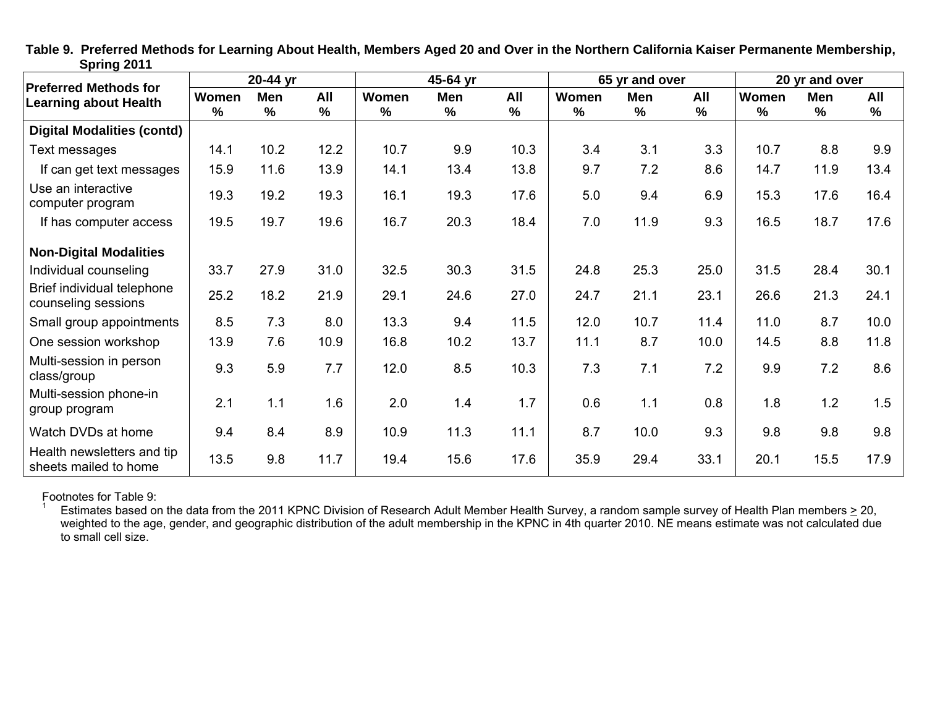|                                                              |                        | 20-44 yr |             |                        | 45-64 yr |                      |               | 65 yr and over |                      |                        | 20 yr and over  |             |
|--------------------------------------------------------------|------------------------|----------|-------------|------------------------|----------|----------------------|---------------|----------------|----------------------|------------------------|-----------------|-------------|
| <b>Preferred Methods for</b><br><b>Learning about Health</b> | Women<br>$\frac{9}{6}$ | Men<br>% | All<br>$\%$ | Women<br>$\frac{9}{6}$ | Men<br>% | All<br>$\frac{9}{6}$ | Women<br>$\%$ | Men<br>$\%$    | All<br>$\frac{9}{6}$ | Women<br>$\frac{9}{6}$ | <b>Men</b><br>% | All<br>$\%$ |
| <b>Digital Modalities (contd)</b>                            |                        |          |             |                        |          |                      |               |                |                      |                        |                 |             |
| Text messages                                                | 14.1                   | 10.2     | 12.2        | 10.7                   | 9.9      | 10.3                 | 3.4           | 3.1            | 3.3                  | 10.7                   | 8.8             | 9.9         |
| If can get text messages                                     | 15.9                   | 11.6     | 13.9        | 14.1                   | 13.4     | 13.8                 | 9.7           | 7.2            | 8.6                  | 14.7                   | 11.9            | 13.4        |
| Use an interactive<br>computer program                       | 19.3                   | 19.2     | 19.3        | 16.1                   | 19.3     | 17.6                 | 5.0           | 9.4            | 6.9                  | 15.3                   | 17.6            | 16.4        |
| If has computer access                                       | 19.5                   | 19.7     | 19.6        | 16.7                   | 20.3     | 18.4                 | 7.0           | 11.9           | 9.3                  | 16.5                   | 18.7            | 17.6        |
| <b>Non-Digital Modalities</b>                                |                        |          |             |                        |          |                      |               |                |                      |                        |                 |             |
| Individual counseling                                        | 33.7                   | 27.9     | 31.0        | 32.5                   | 30.3     | 31.5                 | 24.8          | 25.3           | 25.0                 | 31.5                   | 28.4            | 30.1        |
| Brief individual telephone<br>counseling sessions            | 25.2                   | 18.2     | 21.9        | 29.1                   | 24.6     | 27.0                 | 24.7          | 21.1           | 23.1                 | 26.6                   | 21.3            | 24.1        |
| Small group appointments                                     | 8.5                    | 7.3      | 8.0         | 13.3                   | 9.4      | 11.5                 | 12.0          | 10.7           | 11.4                 | 11.0                   | 8.7             | 10.0        |
| One session workshop                                         | 13.9                   | 7.6      | 10.9        | 16.8                   | 10.2     | 13.7                 | 11.1          | 8.7            | 10.0                 | 14.5                   | 8.8             | 11.8        |
| Multi-session in person<br>class/group                       | 9.3                    | 5.9      | 7.7         | 12.0                   | 8.5      | 10.3                 | 7.3           | 7.1            | 7.2                  | 9.9                    | 7.2             | 8.6         |
| Multi-session phone-in<br>group program                      | 2.1                    | 1.1      | 1.6         | 2.0                    | 1.4      | 1.7                  | 0.6           | 1.1            | 0.8                  | 1.8                    | 1.2             | 1.5         |
| Watch DVDs at home                                           | 9.4                    | 8.4      | 8.9         | 10.9                   | 11.3     | 11.1                 | 8.7           | 10.0           | 9.3                  | 9.8                    | 9.8             | 9.8         |
| Health newsletters and tip<br>sheets mailed to home          | 13.5                   | 9.8      | 11.7        | 19.4                   | 15.6     | 17.6                 | 35.9          | 29.4           | 33.1                 | 20.1                   | 15.5            | 17.9        |

**Table 9. Preferred Methods for Learning About Health, Members Aged 20 and Over in the Northern California Kaiser Permanente Membership, Spring 2011** 

Footnotes for Table 9:

<sup>1</sup> Estimates based on the data from the 2011 KPNC Division of Research Adult Member Health Survey, a random sample survey of Health Plan members  $\geq$  20, weighted to the age, gender, and geographic distribution of the adult membership in the KPNC in 4th quarter 2010. NE means estimate was not calculated due to small cell size.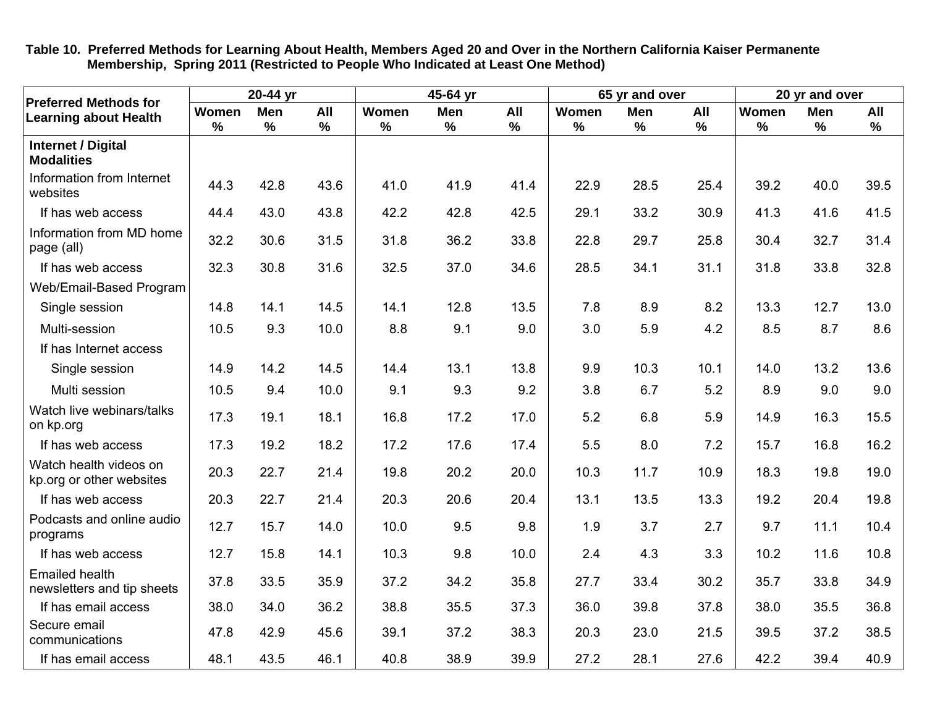| <b>Preferred Methods for</b>                        |            | 20-44 yr    |                      |                        | 45-64 yr             |                      |            | 65 yr and over  |                      |            | 20 yr and over       |                      |
|-----------------------------------------------------|------------|-------------|----------------------|------------------------|----------------------|----------------------|------------|-----------------|----------------------|------------|----------------------|----------------------|
| <b>Learning about Health</b>                        | Women<br>% | Men<br>$\%$ | All<br>$\frac{9}{6}$ | Women<br>$\frac{0}{0}$ | Men<br>$\frac{9}{6}$ | All<br>$\frac{9}{6}$ | Women<br>% | <b>Men</b><br>% | All<br>$\frac{9}{6}$ | Women<br>% | Men<br>$\frac{9}{6}$ | All<br>$\frac{9}{6}$ |
| <b>Internet / Digital</b><br><b>Modalities</b>      |            |             |                      |                        |                      |                      |            |                 |                      |            |                      |                      |
| Information from Internet<br>websites               | 44.3       | 42.8        | 43.6                 | 41.0                   | 41.9                 | 41.4                 | 22.9       | 28.5            | 25.4                 | 39.2       | 40.0                 | 39.5                 |
| If has web access                                   | 44.4       | 43.0        | 43.8                 | 42.2                   | 42.8                 | 42.5                 | 29.1       | 33.2            | 30.9                 | 41.3       | 41.6                 | 41.5                 |
| Information from MD home<br>page (all)              | 32.2       | 30.6        | 31.5                 | 31.8                   | 36.2                 | 33.8                 | 22.8       | 29.7            | 25.8                 | 30.4       | 32.7                 | 31.4                 |
| If has web access                                   | 32.3       | 30.8        | 31.6                 | 32.5                   | 37.0                 | 34.6                 | 28.5       | 34.1            | 31.1                 | 31.8       | 33.8                 | 32.8                 |
| Web/Email-Based Program                             |            |             |                      |                        |                      |                      |            |                 |                      |            |                      |                      |
| Single session                                      | 14.8       | 14.1        | 14.5                 | 14.1                   | 12.8                 | 13.5                 | 7.8        | 8.9             | 8.2                  | 13.3       | 12.7                 | 13.0                 |
| Multi-session                                       | 10.5       | 9.3         | 10.0                 | 8.8                    | 9.1                  | 9.0                  | 3.0        | 5.9             | 4.2                  | 8.5        | 8.7                  | 8.6                  |
| If has Internet access                              |            |             |                      |                        |                      |                      |            |                 |                      |            |                      |                      |
| Single session                                      | 14.9       | 14.2        | 14.5                 | 14.4                   | 13.1                 | 13.8                 | 9.9        | 10.3            | 10.1                 | 14.0       | 13.2                 | 13.6                 |
| Multi session                                       | 10.5       | 9.4         | 10.0                 | 9.1                    | 9.3                  | 9.2                  | 3.8        | 6.7             | 5.2                  | 8.9        | 9.0                  | 9.0                  |
| Watch live webinars/talks<br>on kp.org              | 17.3       | 19.1        | 18.1                 | 16.8                   | 17.2                 | 17.0                 | 5.2        | 6.8             | 5.9                  | 14.9       | 16.3                 | 15.5                 |
| If has web access                                   | 17.3       | 19.2        | 18.2                 | 17.2                   | 17.6                 | 17.4                 | 5.5        | 8.0             | 7.2                  | 15.7       | 16.8                 | 16.2                 |
| Watch health videos on<br>kp.org or other websites  | 20.3       | 22.7        | 21.4                 | 19.8                   | 20.2                 | 20.0                 | 10.3       | 11.7            | 10.9                 | 18.3       | 19.8                 | 19.0                 |
| If has web access                                   | 20.3       | 22.7        | 21.4                 | 20.3                   | 20.6                 | 20.4                 | 13.1       | 13.5            | 13.3                 | 19.2       | 20.4                 | 19.8                 |
| Podcasts and online audio<br>programs               | 12.7       | 15.7        | 14.0                 | 10.0                   | 9.5                  | 9.8                  | 1.9        | 3.7             | 2.7                  | 9.7        | 11.1                 | 10.4                 |
| If has web access                                   | 12.7       | 15.8        | 14.1                 | 10.3                   | 9.8                  | 10.0                 | 2.4        | 4.3             | 3.3                  | 10.2       | 11.6                 | 10.8                 |
| <b>Emailed health</b><br>newsletters and tip sheets | 37.8       | 33.5        | 35.9                 | 37.2                   | 34.2                 | 35.8                 | 27.7       | 33.4            | 30.2                 | 35.7       | 33.8                 | 34.9                 |
| If has email access                                 | 38.0       | 34.0        | 36.2                 | 38.8                   | 35.5                 | 37.3                 | 36.0       | 39.8            | 37.8                 | 38.0       | 35.5                 | 36.8                 |
| Secure email<br>communications                      | 47.8       | 42.9        | 45.6                 | 39.1                   | 37.2                 | 38.3                 | 20.3       | 23.0            | 21.5                 | 39.5       | 37.2                 | 38.5                 |
| If has email access                                 | 48.1       | 43.5        | 46.1                 | 40.8                   | 38.9                 | 39.9                 | 27.2       | 28.1            | 27.6                 | 42.2       | 39.4                 | 40.9                 |

**Table 10. Preferred Methods for Learning About Health, Members Aged 20 and Over in the Northern California Kaiser Permanente Membership, Spring 2011 (Restricted to People Who Indicated at Least One Method)**